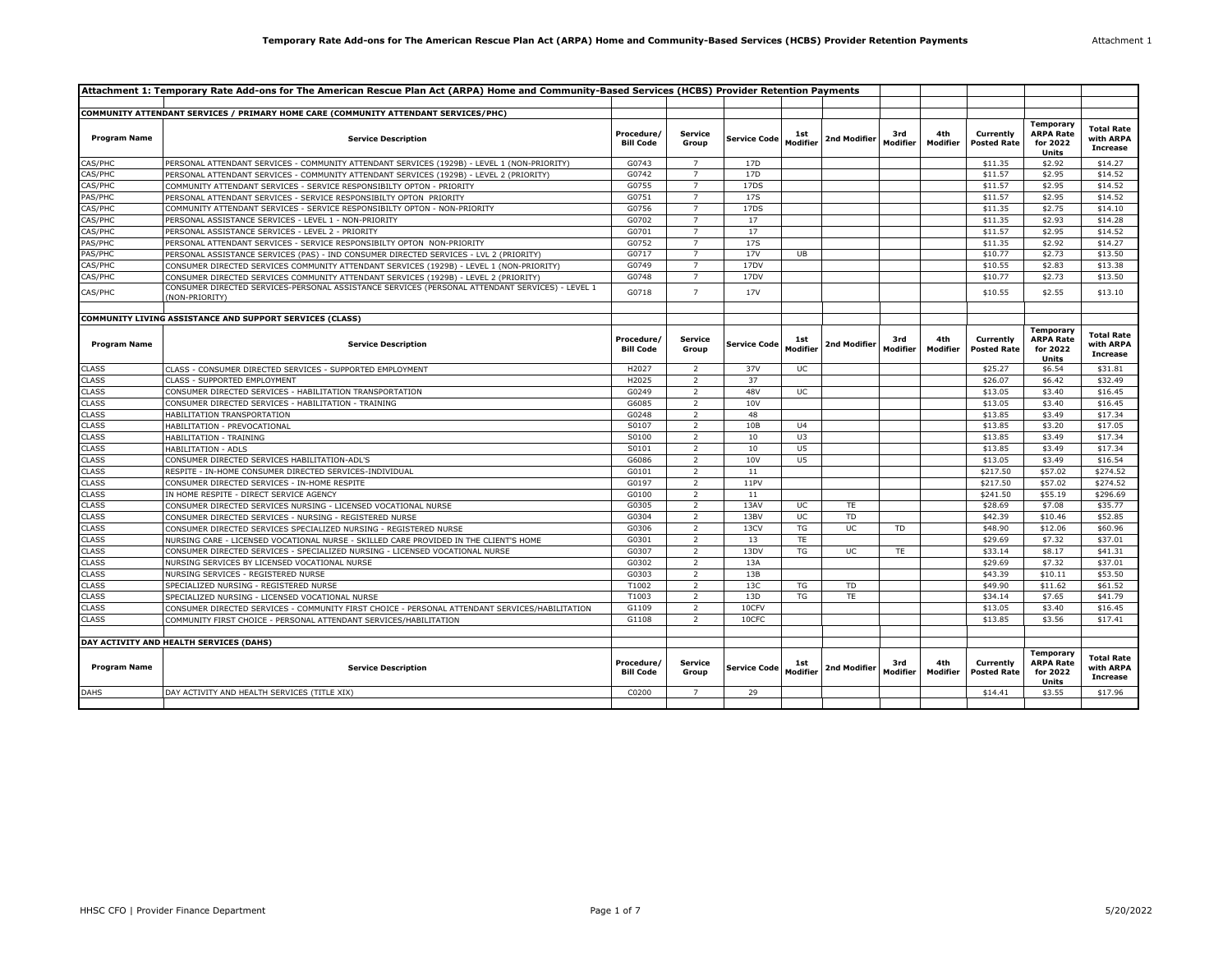| Attachment 1: Temporary Rate Add-ons for The American Rescue Plan Act (ARPA) Home and Community-Based Services (HCBS) Provider Retention Payments |                                                                                                                   |                                |                         |                     |                 |              |                 |                 |                                 |                                                                  |                                                   |
|---------------------------------------------------------------------------------------------------------------------------------------------------|-------------------------------------------------------------------------------------------------------------------|--------------------------------|-------------------------|---------------------|-----------------|--------------|-----------------|-----------------|---------------------------------|------------------------------------------------------------------|---------------------------------------------------|
|                                                                                                                                                   |                                                                                                                   |                                |                         |                     |                 |              |                 |                 |                                 |                                                                  |                                                   |
|                                                                                                                                                   | COMMUNITY ATTENDANT SERVICES / PRIMARY HOME CARE (COMMUNITY ATTENDANT SERVICES/PHC)                               |                                |                         |                     |                 |              |                 |                 |                                 |                                                                  |                                                   |
| <b>Program Name</b>                                                                                                                               | <b>Service Description</b>                                                                                        | Procedure/<br><b>Bill Code</b> | <b>Service</b><br>Group | <b>Service Code</b> | 1st<br>Modifier | 2nd Modifier | 3rd<br>Modifier | 4th<br>Modifier | Currently<br><b>Posted Rate</b> | <b>Temporary</b><br><b>ARPA Rate</b><br>for 2022<br><b>Units</b> | <b>Total Rate</b><br>with ARPA<br><b>Increase</b> |
| CAS/PHC                                                                                                                                           | PERSONAL ATTENDANT SERVICES - COMMUNITY ATTENDANT SERVICES (1929B) - LEVEL 1 (NON-PRIORITY)                       | G0743                          | $\overline{7}$          | 17D                 |                 |              |                 |                 | \$11.35                         | \$2.92                                                           | \$14.27                                           |
| CAS/PHC                                                                                                                                           | PERSONAL ATTENDANT SERVICES - COMMUNITY ATTENDANT SERVICES (1929B) - LEVEL 2 (PRIORITY)                           | G0742                          | $\overline{7}$          | 17 <sub>D</sub>     |                 |              |                 |                 | \$11.57                         | \$2.95                                                           | \$14.52                                           |
| CAS/PHC                                                                                                                                           | COMMUNITY ATTENDANT SERVICES - SERVICE RESPONSIBILTY OPTON - PRIORITY                                             | G0755                          | $\overline{7}$          | 17DS                |                 |              |                 |                 | \$11.57                         | \$2.95                                                           | \$14.52                                           |
| PAS/PHC                                                                                                                                           | PERSONAL ATTENDANT SERVICES - SERVICE RESPONSIBILTY OPTON PRIORITY                                                | G0751                          | $\overline{7}$          | 17S                 |                 |              |                 |                 | \$11.57                         | \$2.95                                                           | \$14.52                                           |
| CAS/PHC                                                                                                                                           | COMMUNITY ATTENDANT SERVICES - SERVICE RESPONSIBILTY OPTON - NON-PRIORITY                                         | G0756                          | $\overline{7}$          | 17DS                |                 |              |                 |                 | \$11.35                         | \$2.75                                                           | \$14.10                                           |
| CAS/PHC                                                                                                                                           | PERSONAL ASSISTANCE SERVICES - LEVEL 1 - NON-PRIORITY                                                             | G0702                          | $\overline{7}$          | 17                  |                 |              |                 |                 | \$11.35                         | \$2.93                                                           | \$14.28                                           |
| CAS/PHC                                                                                                                                           | PERSONAL ASSISTANCE SERVICES - LEVEL 2 - PRIORITY                                                                 | G0701                          | $\overline{7}$          | 17                  |                 |              |                 |                 | \$11.57                         | \$2.95                                                           | \$14.52                                           |
| PAS/PHC                                                                                                                                           | PERSONAL ATTENDANT SERVICES - SERVICE RESPONSIBILTY OPTON NON-PRIORITY                                            | G0752                          | $\overline{7}$          | 17S                 |                 |              |                 |                 | \$11.35                         | \$2.92                                                           | \$14.27                                           |
| PAS/PHC                                                                                                                                           | PERSONAL ASSISTANCE SERVICES (PAS) - IND CONSUMER DIRECTED SERVICES - LVL 2 (PRIORITY)                            | G0717                          | $\overline{7}$          | <b>17V</b>          | <b>UB</b>       |              |                 |                 | \$10.77                         | \$2.73                                                           | \$13.50                                           |
| CAS/PHC                                                                                                                                           | CONSUMER DIRECTED SERVICES COMMUNITY ATTENDANT SERVICES (1929B) - LEVEL 1 (NON-PRIORITY)                          | G0749                          | $\overline{7}$          | 17DV                |                 |              |                 |                 | \$10.55                         | \$2.83                                                           | \$13.38                                           |
| CAS/PHC                                                                                                                                           | CONSUMER DIRECTED SERVICES COMMUNITY ATTENDANT SERVICES (1929B) - LEVEL 2 (PRIORITY)                              | G0748                          | $\overline{7}$          | 17DV                |                 |              |                 |                 | \$10.77                         | \$2.73                                                           | \$13.50                                           |
| CAS/PHC                                                                                                                                           | CONSUMER DIRECTED SERVICES-PERSONAL ASSISTANCE SERVICES (PERSONAL ATTENDANT SERVICES) - LEVEL 1<br>(NON-PRIORITY) | G0718                          | $\overline{7}$          | <b>17V</b>          |                 |              |                 |                 | \$10.55                         | \$2.55                                                           | \$13.10                                           |
|                                                                                                                                                   |                                                                                                                   |                                |                         |                     |                 |              |                 |                 |                                 |                                                                  |                                                   |
|                                                                                                                                                   | COMMUNITY LIVING ASSISTANCE AND SUPPORT SERVICES (CLASS)                                                          |                                |                         |                     |                 |              |                 |                 |                                 |                                                                  |                                                   |
| <b>Program Name</b>                                                                                                                               | <b>Service Description</b>                                                                                        | Procedure/<br><b>Bill Code</b> | Service<br>Group        | <b>Service Code</b> | 1st<br>Modifier | 2nd Modifier | 3rd<br>Modifier | 4th<br>Modifier | Currently<br><b>Posted Rate</b> | <b>Temporary</b><br><b>ARPA Rate</b><br>for 2022<br>Units        | <b>Total Rate</b><br>with ARPA<br><b>Increase</b> |
| <b>CLASS</b>                                                                                                                                      | CLASS - CONSUMER DIRECTED SERVICES - SUPPORTED EMPLOYMENT                                                         | H2027                          | $\overline{2}$          | 37V                 | UC              |              |                 |                 | \$25.27                         | \$6.54                                                           | \$31.81                                           |
| <b>CLASS</b>                                                                                                                                      | CLASS - SUPPORTED EMPLOYMENT                                                                                      | H2025                          | $\overline{2}$          | 37                  |                 |              |                 |                 | \$26.07                         | \$6.42                                                           | \$32.49                                           |
| <b>CLASS</b>                                                                                                                                      | CONSUMER DIRECTED SERVICES - HABILITATION TRANSPORTATION                                                          | G0249                          | 2                       | 48V                 | UC.             |              |                 |                 | \$13.05                         | \$3.40                                                           | \$16.45                                           |
| CLASS                                                                                                                                             | CONSUMER DIRECTED SERVICES - HABILITATION - TRAINING                                                              | G6085                          | $\overline{2}$          | 10V                 |                 |              |                 |                 | \$13.05                         | \$3.40                                                           | \$16.45                                           |
| CLASS                                                                                                                                             | HABILITATION TRANSPORTATION                                                                                       | G0248                          | $\overline{2}$          | 48                  |                 |              |                 |                 | \$13.85                         | \$3.49                                                           | \$17.34                                           |
| <b>CLASS</b>                                                                                                                                      | HABILITATION - PREVOCATIONAL                                                                                      | S0107                          | $\overline{2}$          | 10B                 | U <sub>4</sub>  |              |                 |                 | \$13.85                         | \$3.20                                                           | \$17.05                                           |
| <b>CLASS</b>                                                                                                                                      | HABILITATION - TRAINING                                                                                           | S0100                          | $\overline{2}$          | 10                  | U3              |              |                 |                 | \$13.85                         | \$3.49                                                           | \$17.34                                           |
| <b>CLASS</b>                                                                                                                                      | HABILITATION - ADLS                                                                                               | S0101                          | $\overline{2}$          | 10                  | U <sub>5</sub>  |              |                 |                 | \$13.85                         | \$3.49                                                           | \$17.34                                           |
| <b>CLASS</b>                                                                                                                                      | CONSUMER DIRECTED SERVICES HABILITATION-ADL'S                                                                     | G6086                          | $\overline{2}$          | 10V                 | U <sub>5</sub>  |              |                 |                 | \$13.05                         | \$3.49                                                           | \$16.54                                           |
| <b>CLASS</b>                                                                                                                                      | RESPITE - IN-HOME CONSUMER DIRECTED SERVICES-INDIVIDUAL                                                           | G0101                          | $\overline{2}$          | 11                  |                 |              |                 |                 | \$217.50                        | \$57.02                                                          | \$274.52                                          |
| <b>CLASS</b>                                                                                                                                      | CONSUMER DIRECTED SERVICES - IN-HOME RESPITE                                                                      | G0197                          | 2                       | 11PV                |                 |              |                 |                 | \$217.50                        | \$57.02                                                          | \$274.52                                          |
| <b>CLASS</b>                                                                                                                                      | IN HOME RESPITE - DIRECT SERVICE AGENCY                                                                           | G0100                          | $\overline{2}$          | 11                  |                 |              |                 |                 | \$241.50                        | \$55.19                                                          | \$296.69                                          |
| <b>CLASS</b>                                                                                                                                      | CONSUMER DIRECTED SERVICES NURSING - LICENSED VOCATIONAL NURSE                                                    | G0305                          | $\overline{2}$          | 13AV                | UC              | TE           |                 |                 | \$28.69                         | \$7.08                                                           | \$35.77                                           |
| CLASS                                                                                                                                             | CONSUMER DIRECTED SERVICES - NURSING - REGISTERED NURSE                                                           | G0304                          | $\overline{2}$          | 13BV                | UC              | <b>TD</b>    |                 |                 | \$42.39                         | \$10.46                                                          | \$52.85                                           |
| <b>CLASS</b>                                                                                                                                      | CONSUMER DIRECTED SERVICES SPECIALIZED NURSING - REGISTERED NURSE                                                 | G0306                          | $\overline{2}$          | 13CV                | TG              | <b>UC</b>    | TD.             |                 | \$48.90                         | \$12.06                                                          | \$60.96                                           |
| <b>CLASS</b>                                                                                                                                      | NURSING CARE - LICENSED VOCATIONAL NURSE - SKILLED CARE PROVIDED IN THE CLIENT'S HOME                             | G0301                          | $\overline{2}$          | 13                  | TE.             |              |                 |                 | \$29.69                         | \$7.32                                                           | \$37.01                                           |
| <b>CLASS</b>                                                                                                                                      | CONSUMER DIRECTED SERVICES - SPECIALIZED NURSING - LICENSED VOCATIONAL NURSE                                      | G0307                          | $\overline{2}$          | 13DV                | TG              | <b>UC</b>    | <b>TE</b>       |                 | \$33.14                         | \$8.17                                                           | \$41.31                                           |
| CLASS                                                                                                                                             | NURSING SERVICES BY LICENSED VOCATIONAL NURSE                                                                     | G0302                          | $\overline{2}$          | 13A                 |                 |              |                 |                 | \$29.69                         | \$7.32                                                           | \$37.01                                           |
| <b>CLASS</b>                                                                                                                                      | NURSING SERVICES - REGISTERED NURSE                                                                               | G0303                          | 2                       | 13B                 |                 |              |                 |                 | \$43.39                         | \$10.11                                                          | \$53.50                                           |
| <b>CLASS</b>                                                                                                                                      | SPECIALIZED NURSING - REGISTERED NURSE                                                                            | T1002                          | $\overline{2}$          | 13C                 | TG              | TD           |                 |                 | \$49.90                         | \$11.62                                                          | \$61.52                                           |
| <b>CLASS</b>                                                                                                                                      | SPECIALIZED NURSING - LICENSED VOCATIONAL NURSE                                                                   | T1003                          | $\overline{2}$          | 13D                 | TG              | <b>TE</b>    |                 |                 | \$34.14                         | \$7.65                                                           | \$41.79                                           |
| <b>CLASS</b>                                                                                                                                      | CONSUMER DIRECTED SERVICES - COMMUNITY FIRST CHOICE - PERSONAL ATTENDANT SERVICES/HABILITATION                    | G1109                          | $\overline{2}$          | 10CFV               |                 |              |                 |                 | \$13.05                         | \$3.40                                                           | \$16.45                                           |
| <b>CLASS</b>                                                                                                                                      | COMMUNITY FIRST CHOICE - PERSONAL ATTENDANT SERVICES/HABILITATION                                                 | G1108                          | 2                       | 10CFC               |                 |              |                 |                 | \$13.85                         | \$3.56                                                           | \$17.41                                           |
|                                                                                                                                                   | DAY ACTIVITY AND HEALTH SERVICES (DAHS)                                                                           |                                |                         |                     |                 |              |                 |                 |                                 |                                                                  |                                                   |
| <b>Program Name</b>                                                                                                                               | <b>Service Description</b>                                                                                        | Procedure/<br><b>Bill Code</b> | Service<br>Group        | <b>Service Code</b> | 1st<br>Modifier | 2nd Modifier | 3rd<br>Modifier | 4th<br>Modifier | Currently<br><b>Posted Rate</b> | <b>Temporary</b><br><b>ARPA Rate</b><br>for 2022<br>Units        | <b>Total Rate</b><br>with ARPA<br><b>Increase</b> |
| DAHS                                                                                                                                              | DAY ACTIVITY AND HEALTH SERVICES (TITLE XIX)                                                                      | C0200                          | $\overline{7}$          | 29                  |                 |              |                 |                 | \$14.41                         | \$3.55                                                           | \$17.96                                           |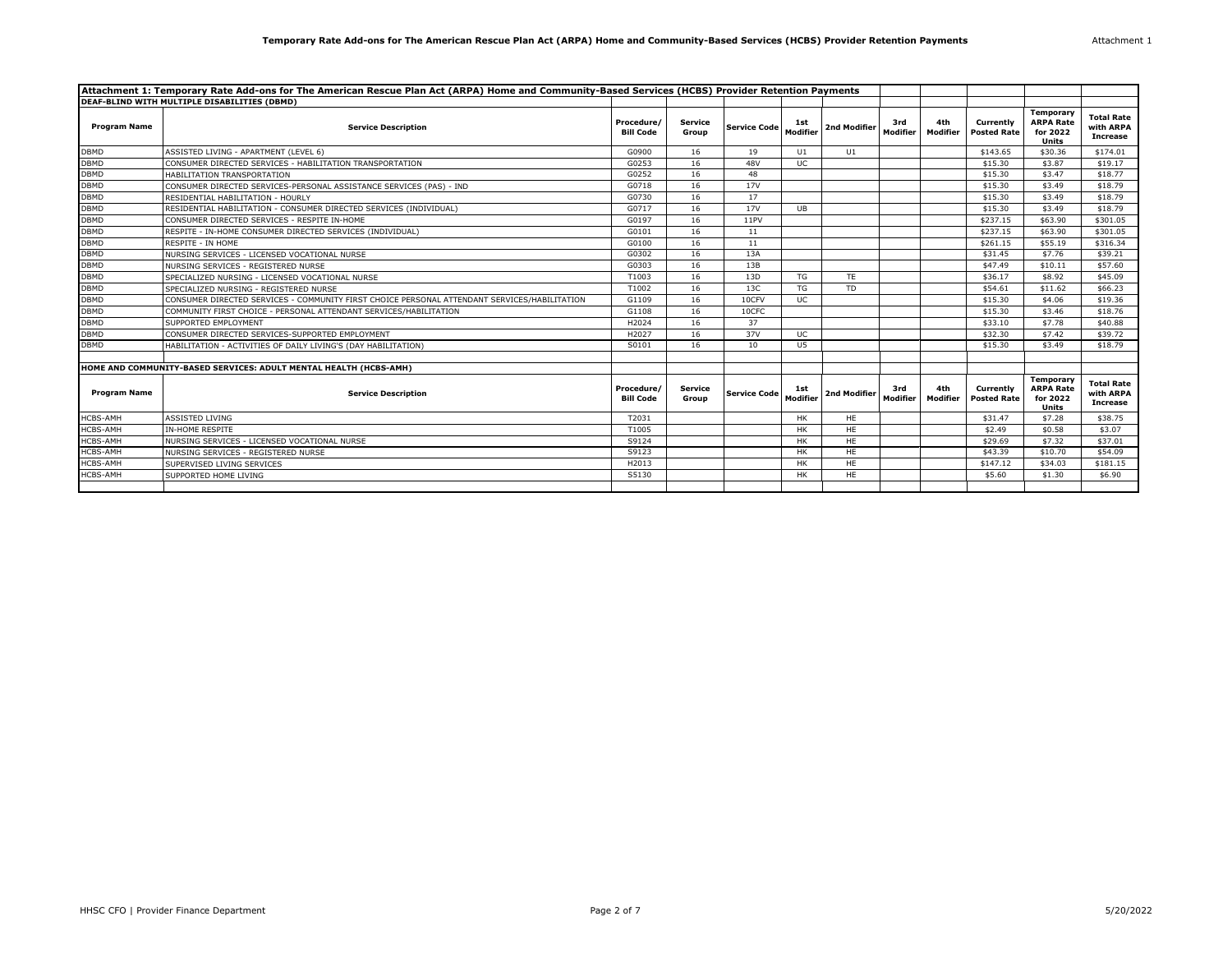| Attachment 1: Temporary Rate Add-ons for The American Rescue Plan Act (ARPA) Home and Community-Based Services (HCBS) Provider Retention Payments |                                                                                              |                                |                  |                       |                 |              |                 |                 |                                 |                                                    |                                                   |
|---------------------------------------------------------------------------------------------------------------------------------------------------|----------------------------------------------------------------------------------------------|--------------------------------|------------------|-----------------------|-----------------|--------------|-----------------|-----------------|---------------------------------|----------------------------------------------------|---------------------------------------------------|
|                                                                                                                                                   | DEAF-BLIND WITH MULTIPLE DISABILITIES (DBMD)                                                 |                                |                  |                       |                 |              |                 |                 |                                 |                                                    |                                                   |
| <b>Program Name</b>                                                                                                                               | <b>Service Description</b>                                                                   | Procedure/<br><b>Bill Code</b> | Service<br>Group | Service Code Modifier |                 | 2nd Modifier | 3rd<br>Modifier | 4th<br>Modifier | Currently<br><b>Posted Rate</b> | Temporary<br><b>ARPA Rate</b><br>for 2022<br>Units | <b>Total Rate</b><br>with ARPA<br><b>Increase</b> |
| <b>DBMD</b>                                                                                                                                       | ASSISTED LIVING - APARTMENT (LEVEL 6)                                                        | G0900                          | 16               | 19                    | U1              | U1           |                 |                 | \$143.65                        | \$30.36                                            | \$174.01                                          |
| <b>DBMD</b>                                                                                                                                       | CONSUMER DIRECTED SERVICES - HABILITATION TRANSPORTATION                                     | G0253                          | 16               | 48V                   | UC              |              |                 |                 | \$15.30                         | \$3.87                                             | \$19.17                                           |
| <b>DBMD</b>                                                                                                                                       | HABILITATION TRANSPORTATION                                                                  | G0252                          | 16               | 48                    |                 |              |                 |                 | \$15.30                         | \$3.47                                             | \$18.77                                           |
| <b>DBMD</b>                                                                                                                                       | CONSUMER DIRECTED SERVICES-PERSONAL ASSISTANCE SERVICES (PAS) - IND                          | G0718                          | 16               | <b>17V</b>            |                 |              |                 |                 | \$15.30                         | \$3.49                                             | \$18.79                                           |
| <b>DBMD</b>                                                                                                                                       | RESIDENTIAL HABILITATION - HOURLY                                                            | G0730                          | 16               | 17                    |                 |              |                 |                 | \$15.30                         | \$3.49                                             | \$18.79                                           |
| <b>DBMD</b>                                                                                                                                       | RESIDENTIAL HABILITATION - CONSUMER DIRECTED SERVICES (INDIVIDUAL)                           | G0717                          | 16               | 17 <sub>V</sub>       | UB              |              |                 |                 | \$15.30                         | \$3.49                                             | \$18.79                                           |
| <b>DBMD</b>                                                                                                                                       | CONSUMER DIRECTED SERVICES - RESPITE IN-HOME                                                 | G0197                          | 16               | 11PV                  |                 |              |                 |                 | \$237.15                        | \$63.90                                            | \$301.05                                          |
| <b>DBMD</b>                                                                                                                                       | RESPITE - IN-HOME CONSUMER DIRECTED SERVICES (INDIVIDUAL)                                    | G0101                          | 16               | 11                    |                 |              |                 |                 | \$237.15                        | \$63.90                                            | \$301.05                                          |
| <b>DBMD</b>                                                                                                                                       | RESPITE - IN HOME                                                                            | G0100                          | 16               | 11                    |                 |              |                 |                 | \$261.15                        | \$55.19                                            | \$316.34                                          |
| <b>DBMD</b>                                                                                                                                       | NURSING SERVICES - LICENSED VOCATIONAL NURSE                                                 | G0302                          | 16               | 13A                   |                 |              |                 |                 | \$31.45                         | \$7.76                                             | \$39.21                                           |
| <b>DBMD</b>                                                                                                                                       | NURSING SERVICES - REGISTERED NURSE                                                          | G0303                          | 16               | 13B                   |                 |              |                 |                 | \$47.49                         | \$10.11                                            | \$57.60                                           |
| <b>DBMD</b>                                                                                                                                       | SPECIALIZED NURSING - LICENSED VOCATIONAL NURSE                                              | T1003                          | 16               | 13D                   | TG              | <b>TE</b>    |                 |                 | \$36.17                         | \$8.92                                             | \$45.09                                           |
| <b>DBMD</b>                                                                                                                                       | SPECIALIZED NURSING - REGISTERED NURSE                                                       | T1002                          | 16               | 13C                   | TG              | <b>TD</b>    |                 |                 | \$54.61                         | \$11.62                                            | \$66.23                                           |
| <b>DBMD</b>                                                                                                                                       | CONSUMER DIRECTED SERVICES - COMMUNITY FIRST CHOICE PERSONAL ATTENDANT SERVICES/HABILITATION | G1109                          | 16               | 10CFV                 | <b>UC</b>       |              |                 |                 | \$15.30                         | \$4.06                                             | \$19.36                                           |
| <b>DBMD</b>                                                                                                                                       | COMMUNITY FIRST CHOICE - PERSONAL ATTENDANT SERVICES/HABILITATION                            | G1108                          | 16               | 10CFC                 |                 |              |                 |                 | \$15.30                         | \$3.46                                             | \$18.76                                           |
| <b>DBMD</b>                                                                                                                                       | SUPPORTED EMPLOYMENT                                                                         | H2024                          | 16               | 37                    |                 |              |                 |                 | \$33.10                         | \$7.78                                             | \$40.88                                           |
| <b>DBMD</b>                                                                                                                                       | CONSUMER DIRECTED SERVICES-SUPPORTED EMPLOYMENT                                              | H2027                          | 16               | 37V                   | <b>UC</b>       |              |                 |                 | \$32.30                         | \$7.42                                             | \$39.72                                           |
| <b>DBMD</b>                                                                                                                                       | HABILITATION - ACTIVITIES OF DAILY LIVING'S (DAY HABILITATION)                               | S0101                          | 16               | 10                    | U5              |              |                 |                 | \$15.30                         | \$3.49                                             | \$18.79                                           |
|                                                                                                                                                   |                                                                                              |                                |                  |                       |                 |              |                 |                 |                                 |                                                    |                                                   |
|                                                                                                                                                   | HOME AND COMMUNITY-BASED SERVICES: ADULT MENTAL HEALTH (HCBS-AMH)                            |                                |                  |                       |                 |              |                 |                 |                                 |                                                    |                                                   |
| <b>Program Name</b>                                                                                                                               | <b>Service Description</b>                                                                   | Procedure/<br><b>Bill Code</b> | Service<br>Group | <b>Service Code</b>   | 1st<br>Modifier | 2nd Modifier | 3rd<br>Modifier | 4th<br>Modifier | Currently<br><b>Posted Rate</b> | Temporary<br><b>ARPA Rate</b><br>for 2022<br>Units | <b>Total Rate</b><br>with ARPA<br>Increase        |
| HCBS-AMH                                                                                                                                          | ASSISTED LIVING                                                                              | T2031                          |                  |                       | <b>HK</b>       | <b>HE</b>    |                 |                 | \$31.47                         | \$7.28                                             | \$38.75                                           |
| HCBS-AMH                                                                                                                                          | <b>IN-HOME RESPITE</b>                                                                       | T1005                          |                  |                       | <b>HK</b>       | HE           |                 |                 | \$2.49                          | \$0.58                                             | \$3.07                                            |
| <b>HCBS-AMH</b>                                                                                                                                   | NURSING SERVICES - LICENSED VOCATIONAL NURSE                                                 | S9124                          |                  |                       | <b>HK</b>       | HE           |                 |                 | \$29.69                         | \$7.32                                             | \$37.01                                           |
| <b>HCBS-AMH</b>                                                                                                                                   | NURSING SERVICES - REGISTERED NURSE                                                          | S9123                          |                  |                       | <b>HK</b>       | HE           |                 |                 | \$43.39                         | \$10.70                                            | \$54.09                                           |
| <b>HCBS-AMH</b>                                                                                                                                   | SUPERVISED LIVING SERVICES                                                                   | H2013                          |                  |                       | <b>HK</b>       | <b>HE</b>    |                 |                 | \$147.12                        | \$34.03                                            | \$181.15                                          |
| HCBS-AMH                                                                                                                                          | SUPPORTED HOME LIVING                                                                        | S5130                          |                  |                       | HK              | HE           |                 |                 | \$5.60                          | \$1.30                                             | \$6.90                                            |
|                                                                                                                                                   |                                                                                              |                                |                  |                       |                 |              |                 |                 |                                 |                                                    |                                                   |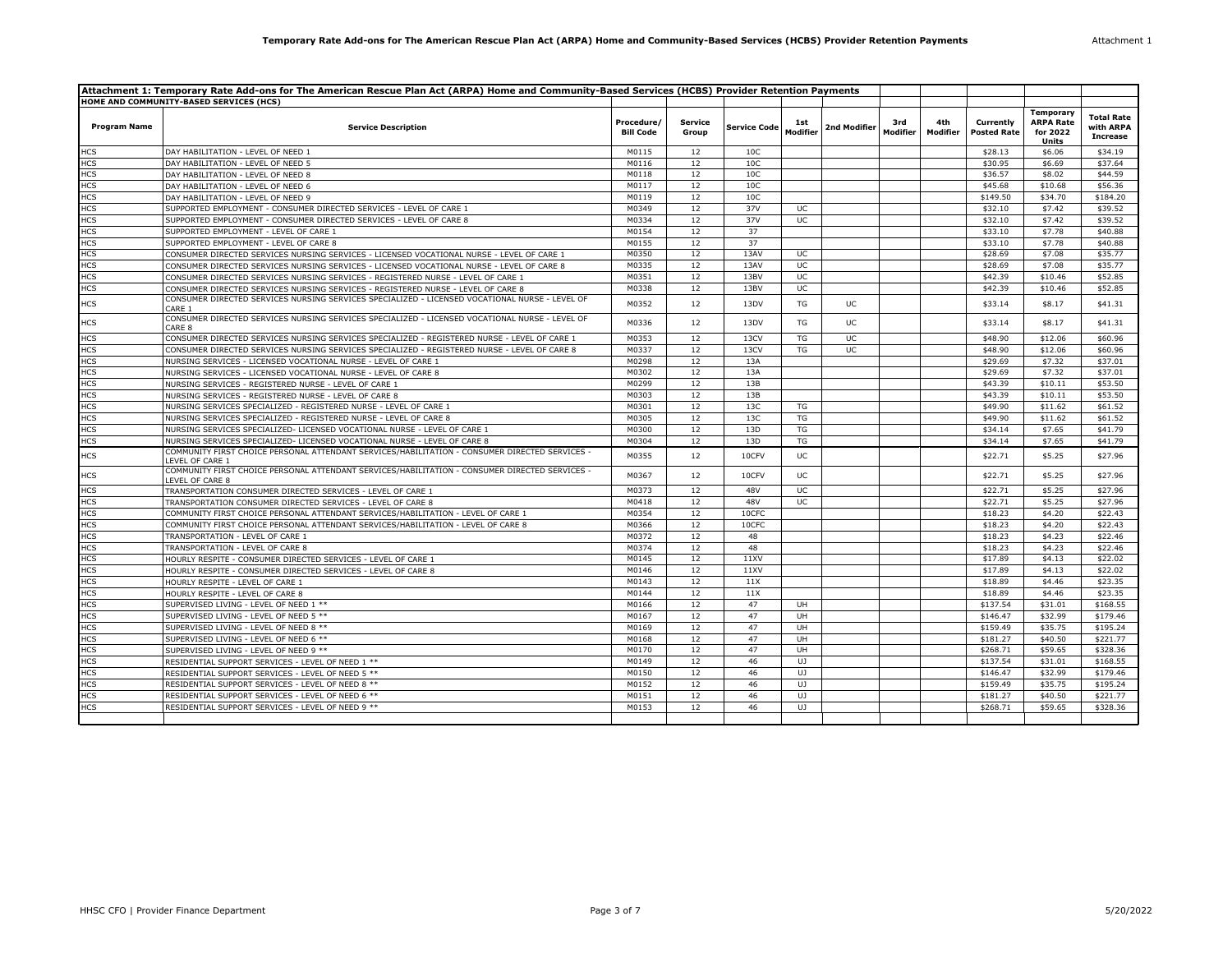| Attachment 1: Temporary Rate Add-ons for The American Rescue Plan Act (ARPA) Home and Community-Based Services (HCBS) Provider Retention Payments |                                                                                                                     |                                |                         |              |                 |              |                 |                 |                                 |                                                                  |                                                   |
|---------------------------------------------------------------------------------------------------------------------------------------------------|---------------------------------------------------------------------------------------------------------------------|--------------------------------|-------------------------|--------------|-----------------|--------------|-----------------|-----------------|---------------------------------|------------------------------------------------------------------|---------------------------------------------------|
|                                                                                                                                                   | HOME AND COMMUNITY-BASED SERVICES (HCS)                                                                             |                                |                         |              |                 |              |                 |                 |                                 |                                                                  |                                                   |
| <b>Program Name</b>                                                                                                                               | <b>Service Description</b>                                                                                          | Procedure/<br><b>Bill Code</b> | <b>Service</b><br>Group | Service Code | 1st<br>Modifier | 2nd Modifier | 3rd<br>Modifier | 4th<br>Modifier | Currently<br><b>Posted Rate</b> | <b>Temporary</b><br><b>ARPA Rate</b><br>for 2022<br><b>Units</b> | <b>Total Rate</b><br>with ARPA<br><b>Increase</b> |
| <b>HCS</b>                                                                                                                                        | DAY HABILITATION - LEVEL OF NEED 1                                                                                  | M0115                          | 12                      | 10C          |                 |              |                 |                 | \$28.13                         | \$6.06                                                           | \$34.19                                           |
| HCS                                                                                                                                               | DAY HABILITATION - LEVEL OF NEED 5                                                                                  | M0116                          | 12                      | 10C          |                 |              |                 |                 | \$30.95                         | \$6.69                                                           | \$37.64                                           |
| <b>HCS</b>                                                                                                                                        | DAY HABILITATION - LEVEL OF NEED 8                                                                                  | M0118                          | 12                      | 10C          |                 |              |                 |                 | \$36.57                         | \$8.02                                                           | \$44.59                                           |
| <b>HCS</b>                                                                                                                                        | DAY HABILITATION - LEVEL OF NEED 6                                                                                  | M0117                          | 12                      | 10C          |                 |              |                 |                 | \$45.68                         | \$10.68                                                          | \$56.36                                           |
| <b>HCS</b>                                                                                                                                        | DAY HABILITATION - LEVEL OF NEED 9                                                                                  | M0119                          | 12                      | 10C          |                 |              |                 |                 | \$149.50                        | \$34.70                                                          | \$184.20                                          |
| <b>HCS</b>                                                                                                                                        | SUPPORTED EMPLOYMENT - CONSUMER DIRECTED SERVICES - LEVEL OF CARE 1                                                 | M0349                          | 12                      | 37V          | UC              |              |                 |                 | \$32.10                         | \$7.42                                                           | \$39.52                                           |
| <b>HCS</b>                                                                                                                                        | SUPPORTED EMPLOYMENT - CONSUMER DIRECTED SERVICES - LEVEL OF CARE 8                                                 | M0334                          | 12                      | 37V          | UC              |              |                 |                 | \$32.10                         | \$7.42                                                           | \$39.52                                           |
| <b>HCS</b>                                                                                                                                        | SUPPORTED EMPLOYMENT - LEVEL OF CARE 1                                                                              | M0154                          | 12                      | 37           |                 |              |                 |                 | \$33.10                         | \$7.78                                                           | \$40.88                                           |
| <b>HCS</b>                                                                                                                                        | SUPPORTED EMPLOYMENT - LEVEL OF CARE 8                                                                              | M0155                          | 12                      | 37           |                 |              |                 |                 | \$33.10                         | \$7.78                                                           | \$40.88                                           |
| <b>HCS</b>                                                                                                                                        | CONSUMER DIRECTED SERVICES NURSING SERVICES - LICENSED VOCATIONAL NURSE - LEVEL OF CARE 1                           | M0350                          | 12                      | 13AV         | UC              |              |                 |                 | \$28.69                         | \$7.08                                                           | \$35.77                                           |
| <b>HCS</b>                                                                                                                                        | CONSUMER DIRECTED SERVICES NURSING SERVICES - LICENSED VOCATIONAL NURSE - LEVEL OF CARE 8                           | M0335                          | 12                      | 13AV         | UC              |              |                 |                 | \$28.69                         | \$7.08                                                           | \$35.77                                           |
| <b>HCS</b>                                                                                                                                        | CONSUMER DIRECTED SERVICES NURSING SERVICES - REGISTERED NURSE - LEVEL OF CARE 1                                    | M0351                          | 12                      | 13BV         | UC              |              |                 |                 | \$42.39                         | \$10.46                                                          | \$52.85                                           |
| <b>HCS</b>                                                                                                                                        | CONSUMER DIRECTED SERVICES NURSING SERVICES - REGISTERED NURSE - LEVEL OF CARE 8                                    | M0338                          | 12                      | 13BV         | UC              |              |                 |                 | \$42.39                         | \$10.46                                                          | \$52.85                                           |
| <b>HCS</b>                                                                                                                                        | CONSUMER DIRECTED SERVICES NURSING SERVICES SPECIALIZED - LICENSED VOCATIONAL NURSE - LEVEL OF<br>CARE 1            | M0352                          | 12                      | 13DV         | TG              | UC           |                 |                 | \$33.14                         | \$8.17                                                           | \$41.31                                           |
| HCS                                                                                                                                               | CONSUMER DIRECTED SERVICES NURSING SERVICES SPECIALIZED - LICENSED VOCATIONAL NURSE - LEVEL OF<br>CARE <sub>8</sub> | M0336                          | 12                      | 13DV         | TG              | UC           |                 |                 | \$33.14                         | \$8.17                                                           | \$41.31                                           |
| <b>HCS</b>                                                                                                                                        | CONSUMER DIRECTED SERVICES NURSING SERVICES SPECIALIZED - REGISTERED NURSE - LEVEL OF CARE 1                        | M0353                          | 12                      | 13CV         | TG              | UC.          |                 |                 | \$48.90                         | \$12.06                                                          | \$60.96                                           |
| <b>HCS</b>                                                                                                                                        | CONSUMER DIRECTED SERVICES NURSING SERVICES SPECIALIZED - REGISTERED NURSE - LEVEL OF CARE 8                        | M0337                          | 12                      | 13CV         | TG              | UC           |                 |                 | \$48.90                         | \$12.06                                                          | \$60.96                                           |
| <b>HCS</b>                                                                                                                                        | NURSING SERVICES - LICENSED VOCATIONAL NURSE - LEVEL OF CARE 1                                                      | M0298                          | 12                      | 13A          |                 |              |                 |                 | \$29.69                         | \$7.32                                                           | \$37.01                                           |
| <b>HCS</b>                                                                                                                                        | NURSING SERVICES - LICENSED VOCATIONAL NURSE - LEVEL OF CARE 8                                                      | M0302                          | 12                      | 13A          |                 |              |                 |                 | \$29.69                         | \$7.32                                                           | \$37.01                                           |
| <b>HCS</b>                                                                                                                                        | NURSING SERVICES - REGISTERED NURSE - LEVEL OF CARE 1                                                               | M0299                          | 12                      | 13B          |                 |              |                 |                 | \$43.39                         | \$10.11                                                          | \$53.50                                           |
| <b>HCS</b>                                                                                                                                        | NURSING SERVICES - REGISTERED NURSE - LEVEL OF CARE 8                                                               | M0303                          | 12                      | 13B          |                 |              |                 |                 | \$43.39                         | \$10.11                                                          | \$53.50                                           |
| <b>HCS</b>                                                                                                                                        | NURSING SERVICES SPECIALIZED - REGISTERED NURSE - LEVEL OF CARE 1                                                   | M0301                          | 12                      | 13C          | TG              |              |                 |                 | \$49.90                         | \$11.62                                                          | \$61.52                                           |
| HCS                                                                                                                                               | NURSING SERVICES SPECIALIZED - REGISTERED NURSE - LEVEL OF CARE 8                                                   | M0305                          | 12                      | 13C          | TG              |              |                 |                 | \$49.90                         | \$11.62                                                          | \$61.52                                           |
| <b>HCS</b>                                                                                                                                        | NURSING SERVICES SPECIALIZED- LICENSED VOCATIONAL NURSE - LEVEL OF CARE 1                                           | M0300                          | 12                      | 13D          | TG              |              |                 |                 | \$34.14                         | \$7.65                                                           | \$41.79                                           |
| <b>HCS</b>                                                                                                                                        | NURSING SERVICES SPECIALIZED- LICENSED VOCATIONAL NURSE - LEVEL OF CARE 8                                           | M0304                          | 12                      | 13D          | <b>TG</b>       |              |                 |                 | \$34.14                         | \$7.65                                                           | \$41.79                                           |
| <b>HCS</b>                                                                                                                                        | COMMUNITY FIRST CHOICE PERSONAL ATTENDANT SERVICES/HABILITATION - CONSUMER DIRECTED SERVICES -<br>LEVEL OF CARE 1   | M0355                          | 12                      | 10CFV        | UC              |              |                 |                 | \$22.71                         | \$5.25                                                           | \$27.96                                           |
| HCS                                                                                                                                               | COMMUNITY FIRST CHOICE PERSONAL ATTENDANT SERVICES/HABILITATION - CONSUMER DIRECTED SERVICES -<br>LEVEL OF CARE 8   | M0367                          | 12                      | 10CFV        | UC              |              |                 |                 | \$22.71                         | \$5.25                                                           | \$27.96                                           |
| <b>HCS</b>                                                                                                                                        | TRANSPORTATION CONSUMER DIRECTED SERVICES - LEVEL OF CARE 1                                                         | M0373                          | 12                      | 48V          | <b>UC</b>       |              |                 |                 | \$22.71                         | \$5.25                                                           | \$27.96                                           |
| <b>HCS</b>                                                                                                                                        | TRANSPORTATION CONSUMER DIRECTED SERVICES - LEVEL OF CARE 8                                                         | M0418                          | 12                      | 48V          | UC              |              |                 |                 | \$22.71                         | \$5.25                                                           | \$27.96                                           |
| <b>HCS</b>                                                                                                                                        | COMMUNITY FIRST CHOICE PERSONAL ATTENDANT SERVICES/HABILITATION - LEVEL OF CARE 1                                   | M0354                          | 12                      | 10CFC        |                 |              |                 |                 | \$18.23                         | \$4.20                                                           | \$22.43                                           |
| <b>HCS</b>                                                                                                                                        | COMMUNITY FIRST CHOICE PERSONAL ATTENDANT SERVICES/HABILITATION - LEVEL OF CARE 8                                   | M0366                          | 12                      | 10CFC        |                 |              |                 |                 | \$18.23                         | \$4.20                                                           | \$22.43                                           |
| <b>HCS</b>                                                                                                                                        | TRANSPORTATION - LEVEL OF CARE 1                                                                                    | M0372                          | 12                      | 48           |                 |              |                 |                 | \$18.23                         | \$4.23                                                           | \$22.46                                           |
| <b>HCS</b>                                                                                                                                        | TRANSPORTATION - LEVEL OF CARE 8                                                                                    | M0374                          | 12                      | 48           |                 |              |                 |                 | \$18.23                         | \$4.23                                                           | \$22.46                                           |
| HCS                                                                                                                                               | HOURLY RESPITE - CONSUMER DIRECTED SERVICES - LEVEL OF CARE 1                                                       | M0145                          | 12                      | 11XV         |                 |              |                 |                 | \$17.89                         | \$4.13                                                           | \$22.02                                           |
| <b>HCS</b>                                                                                                                                        | HOURLY RESPITE - CONSUMER DIRECTED SERVICES - LEVEL OF CARE 8                                                       | M0146                          | 12                      | 11XV         |                 |              |                 |                 | \$17.89                         | \$4.13                                                           | \$22.02                                           |
| <b>HCS</b>                                                                                                                                        | HOURLY RESPITE - LEVEL OF CARE 1                                                                                    | M0143                          | 12                      | 11X          |                 |              |                 |                 | \$18.89                         | \$4.46                                                           | \$23.35                                           |
| <b>HCS</b>                                                                                                                                        | HOURLY RESPITE - LEVEL OF CARE 8                                                                                    | M0144                          | 12                      | 11X          |                 |              |                 |                 | \$18.89                         | \$4.46                                                           | \$23.35                                           |
| <b>HCS</b>                                                                                                                                        | SUPERVISED LIVING - LEVEL OF NEED 1 **                                                                              | M0166                          | 12                      | 47           | UH              |              |                 |                 | \$137.54                        | \$31.01                                                          | \$168.55                                          |
| HCS                                                                                                                                               | SUPERVISED LIVING - LEVEL OF NEED 5 **                                                                              | M0167                          | 12                      | 47           | UH              |              |                 |                 | \$146.47                        | \$32.99                                                          | \$179.46                                          |
| <b>HCS</b>                                                                                                                                        | SUPERVISED LIVING - LEVEL OF NEED 8 **                                                                              | M0169                          | 12                      | 47           | UH              |              |                 |                 | \$159.49                        | \$35.75                                                          | \$195.24                                          |
| <b>HCS</b>                                                                                                                                        | SUPERVISED LIVING - LEVEL OF NEED 6 **                                                                              | M0168                          | 12                      | 47           | UH              |              |                 |                 | \$181.27                        | \$40.50                                                          | \$221.77                                          |
| <b>HCS</b>                                                                                                                                        | SUPERVISED LIVING - LEVEL OF NEED 9 **                                                                              | M0170                          | 12                      | 47           | <b>UH</b>       |              |                 |                 | \$268.71                        | \$59.65                                                          | \$328.36                                          |
| <b>HCS</b>                                                                                                                                        | RESIDENTIAL SUPPORT SERVICES - LEVEL OF NEED 1 **                                                                   | M0149                          | 12                      | 46           | UJ.             |              |                 |                 | \$137.54                        | \$31.01                                                          | \$168.55                                          |
| <b>HCS</b>                                                                                                                                        | RESIDENTIAL SUPPORT SERVICES - LEVEL OF NEED 5 **                                                                   | M0150                          | 12                      | 46           | UJ              |              |                 |                 | \$146.47                        | \$32.99                                                          | \$179.46                                          |
| łСS                                                                                                                                               | RESIDENTIAL SUPPORT SERVICES - LEVEL OF NEED 8 **                                                                   | M0152                          | 12                      | 46           | UJ.             |              |                 |                 | \$159.49                        | \$35.75                                                          | \$195.24                                          |
| <b>HCS</b>                                                                                                                                        | RESIDENTIAL SUPPORT SERVICES - LEVEL OF NEED 6 **                                                                   | M0151                          | 12                      | 46           | UJ.             |              |                 |                 | \$181.27                        | \$40.50                                                          | \$221.77                                          |
| <b>HCS</b>                                                                                                                                        | RESIDENTIAL SUPPORT SERVICES - LEVEL OF NEED 9 **                                                                   | M0153                          | 12                      | 46           | UJ.             |              |                 |                 | \$268.71                        | \$59.65                                                          | \$328.36                                          |
|                                                                                                                                                   |                                                                                                                     |                                |                         |              |                 |              |                 |                 |                                 |                                                                  |                                                   |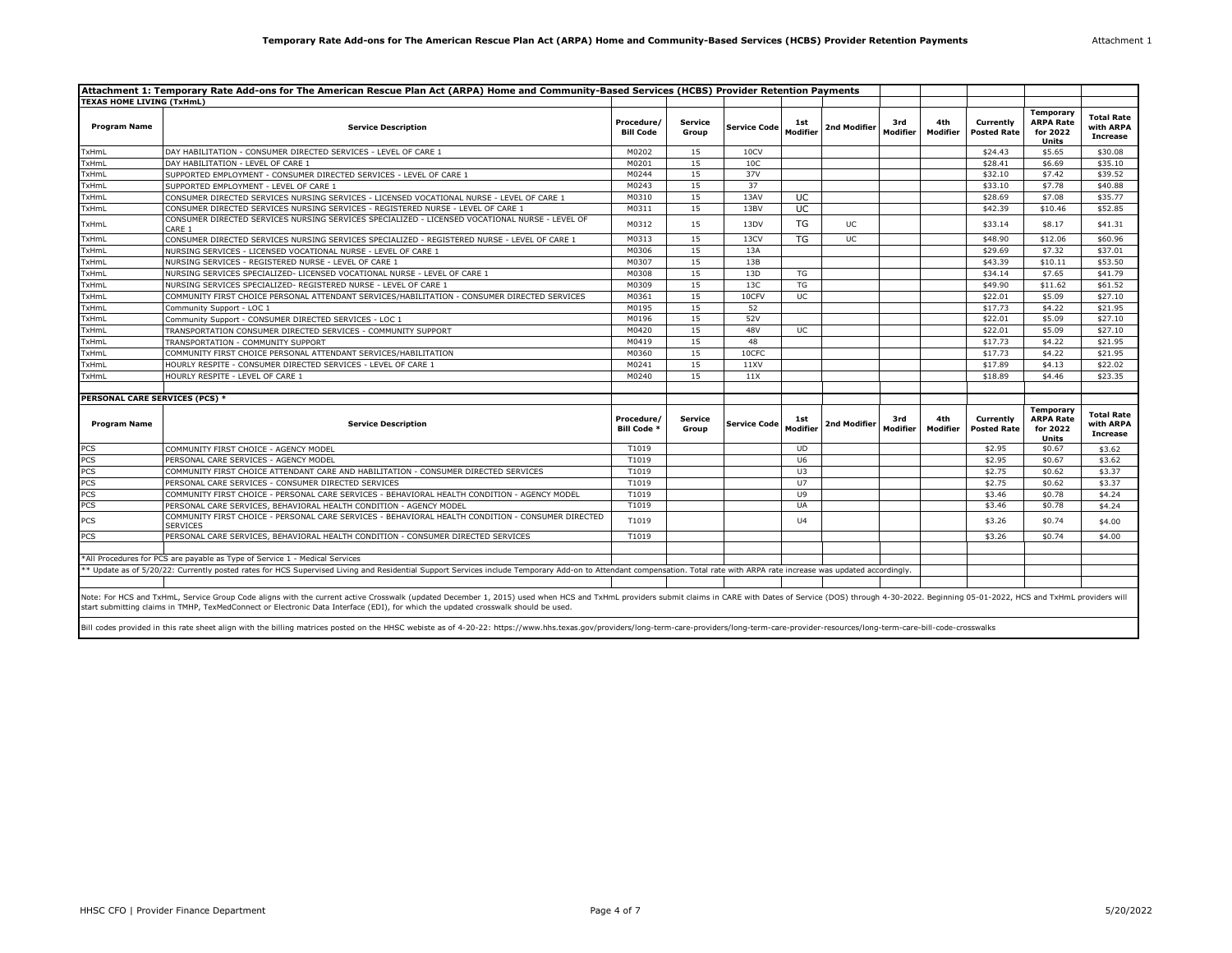| Attachment 1 |  |  |
|--------------|--|--|
|              |  |  |

|                                  | Attachment 1: Temporary Rate Add-ons for The American Rescue Plan Act (ARPA) Home and Community-Based Services (HCBS) Provider Retention Payments                                                                                                                                                                                                                                                                                                                                                                                                                                                      |                                  |                         |                     |                 |              |                 |                 |                                 |                                                           |                                                   |
|----------------------------------|--------------------------------------------------------------------------------------------------------------------------------------------------------------------------------------------------------------------------------------------------------------------------------------------------------------------------------------------------------------------------------------------------------------------------------------------------------------------------------------------------------------------------------------------------------------------------------------------------------|----------------------------------|-------------------------|---------------------|-----------------|--------------|-----------------|-----------------|---------------------------------|-----------------------------------------------------------|---------------------------------------------------|
| <b>TEXAS HOME LIVING (TxHmL)</b> |                                                                                                                                                                                                                                                                                                                                                                                                                                                                                                                                                                                                        |                                  |                         |                     |                 |              |                 |                 |                                 |                                                           |                                                   |
| <b>Program Name</b>              | <b>Service Description</b>                                                                                                                                                                                                                                                                                                                                                                                                                                                                                                                                                                             | Procedure/<br><b>Bill Code</b>   | Service<br>Group        | <b>Service Code</b> | 1st<br>Modifier | 2nd Modifier | 3rd<br>Modifier | 4th<br>Modifier | Currently<br><b>Posted Rate</b> | Temporary<br><b>ARPA Rate</b><br>for 2022<br>Units        | <b>Total Rate</b><br>with ARPA<br><b>Increase</b> |
| TxHmL                            | DAY HABILITATION - CONSUMER DIRECTED SERVICES - LEVEL OF CARE 1                                                                                                                                                                                                                                                                                                                                                                                                                                                                                                                                        | M0202                            | 15                      | 10CV                |                 |              |                 |                 | \$24.43                         | \$5.65                                                    | \$30.08                                           |
| TxHmL                            | DAY HABILITATION - LEVEL OF CARE 1                                                                                                                                                                                                                                                                                                                                                                                                                                                                                                                                                                     | M0201                            | 15                      | 10 <sup>C</sup>     |                 |              |                 |                 | \$28.41                         | \$6.69                                                    | \$35.10                                           |
| TxHmL                            | SUPPORTED EMPLOYMENT - CONSUMER DIRECTED SERVICES - LEVEL OF CARE 1                                                                                                                                                                                                                                                                                                                                                                                                                                                                                                                                    | M0244                            | 15                      | 37V                 |                 |              |                 |                 | \$32.10                         | \$7.42                                                    | \$39.52                                           |
| TxHmL                            | SUPPORTED EMPLOYMENT - LEVEL OF CARE 1                                                                                                                                                                                                                                                                                                                                                                                                                                                                                                                                                                 | M0243                            | 15                      | 37                  |                 |              |                 |                 | \$33.10                         | \$7.78                                                    | \$40.88                                           |
| TxHmL                            | CONSUMER DIRECTED SERVICES NURSING SERVICES - LICENSED VOCATIONAL NURSE - LEVEL OF CARE 1                                                                                                                                                                                                                                                                                                                                                                                                                                                                                                              | M0310                            | 15                      | 13AV                | <b>UC</b>       |              |                 |                 | \$28.69                         | \$7.08                                                    | \$35.77                                           |
| TxHmL                            | CONSUMER DIRECTED SERVICES NURSING SERVICES - REGISTERED NURSE - LEVEL OF CARE 1                                                                                                                                                                                                                                                                                                                                                                                                                                                                                                                       | M0311                            | 15                      | 13BV                | <b>UC</b>       |              |                 |                 | \$42.39                         | \$10.46                                                   | \$52.85                                           |
| TxHmL                            | CONSUMER DIRECTED SERVICES NURSING SERVICES SPECIALIZED - LICENSED VOCATIONAL NURSE - LEVEL OF<br>CARE 1                                                                                                                                                                                                                                                                                                                                                                                                                                                                                               | M0312                            | 15                      | 13DV                | <b>TG</b>       | <b>UC</b>    |                 |                 | \$33.14                         | \$8.17                                                    | \$41.31                                           |
| <b>TxHmL</b>                     | CONSUMER DIRECTED SERVICES NURSING SERVICES SPECIALIZED - REGISTERED NURSE - LEVEL OF CARE 1                                                                                                                                                                                                                                                                                                                                                                                                                                                                                                           | M0313                            | 15                      | 13CV                | TG              | UC.          |                 |                 | \$48.90                         | \$12.06                                                   | \$60.96                                           |
| TxHmL                            | NURSING SERVICES - LICENSED VOCATIONAL NURSE - LEVEL OF CARE 1                                                                                                                                                                                                                                                                                                                                                                                                                                                                                                                                         | M0306                            | 15                      | 13A                 |                 |              |                 |                 | \$29.69                         | \$7.32                                                    | \$37.01                                           |
| TxHmL                            | NURSING SERVICES - REGISTERED NURSE - LEVEL OF CARE 1                                                                                                                                                                                                                                                                                                                                                                                                                                                                                                                                                  | M0307                            | 15                      | 13B                 |                 |              |                 |                 | \$43.39                         | \$10.11                                                   | \$53.50                                           |
| TxHmL                            | NURSING SERVICES SPECIALIZED- LICENSED VOCATIONAL NURSE - LEVEL OF CARE 1                                                                                                                                                                                                                                                                                                                                                                                                                                                                                                                              | M0308                            | 15                      | 13D                 | TG              |              |                 |                 | \$34.14                         | \$7.65                                                    | \$41.79                                           |
| TxHmL                            | NURSING SERVICES SPECIALIZED- REGISTERED NURSE - LEVEL OF CARE 1                                                                                                                                                                                                                                                                                                                                                                                                                                                                                                                                       | M0309                            | 15                      | 13C                 | TG              |              |                 |                 | \$49.90                         | \$11.62                                                   | \$61.52                                           |
| TxHmL                            | COMMUNITY FIRST CHOICE PERSONAL ATTENDANT SERVICES/HABILITATION - CONSUMER DIRECTED SERVICES                                                                                                                                                                                                                                                                                                                                                                                                                                                                                                           | M0361                            | 15                      | 10CFV               | <b>UC</b>       |              |                 |                 | \$22.01                         | \$5.09                                                    | \$27.10                                           |
| TxHmL                            | Community Support - LOC 1                                                                                                                                                                                                                                                                                                                                                                                                                                                                                                                                                                              | M0195                            | 15                      | 52                  |                 |              |                 |                 | \$17.73                         | \$4.22                                                    | \$21.95                                           |
| TxHmL                            | Community Support - CONSUMER DIRECTED SERVICES - LOC 1                                                                                                                                                                                                                                                                                                                                                                                                                                                                                                                                                 | M0196                            | 15                      | 52V                 |                 |              |                 |                 | \$22.01                         | \$5.09                                                    | \$27.10                                           |
| TxHmL                            | TRANSPORTATION CONSUMER DIRECTED SERVICES - COMMUNITY SUPPORT                                                                                                                                                                                                                                                                                                                                                                                                                                                                                                                                          | M0420                            | 15                      | 48V                 | <b>UC</b>       |              |                 |                 | \$22.01                         | \$5.09                                                    | \$27.10                                           |
| TxHmL                            | TRANSPORTATION - COMMUNITY SUPPORT                                                                                                                                                                                                                                                                                                                                                                                                                                                                                                                                                                     | M0419                            | 15                      | 48                  |                 |              |                 |                 | \$17.73                         | \$4.22                                                    | \$21.95                                           |
| TxHmL                            | COMMUNITY FIRST CHOICE PERSONAL ATTENDANT SERVICES/HABILITATION                                                                                                                                                                                                                                                                                                                                                                                                                                                                                                                                        | M0360                            | 15                      | 10CFC               |                 |              |                 |                 | \$17.73                         | \$4.22                                                    | \$21.95                                           |
| TxHmL                            | HOURLY RESPITE - CONSUMER DIRECTED SERVICES - LEVEL OF CARE 1                                                                                                                                                                                                                                                                                                                                                                                                                                                                                                                                          | M0241                            | 15                      | 11XV                |                 |              |                 |                 | \$17.89                         | \$4.13                                                    | \$22.02                                           |
| TxHmL                            | HOURLY RESPITE - LEVEL OF CARE 1                                                                                                                                                                                                                                                                                                                                                                                                                                                                                                                                                                       | M0240                            | 15                      | 11X                 |                 |              |                 |                 | \$18.89                         | \$4.46                                                    | \$23.35                                           |
|                                  |                                                                                                                                                                                                                                                                                                                                                                                                                                                                                                                                                                                                        |                                  |                         |                     |                 |              |                 |                 |                                 |                                                           |                                                   |
| PERSONAL CARE SERVICES (PCS) *   |                                                                                                                                                                                                                                                                                                                                                                                                                                                                                                                                                                                                        |                                  |                         |                     |                 |              |                 |                 |                                 |                                                           |                                                   |
| <b>Program Name</b>              | <b>Service Description</b>                                                                                                                                                                                                                                                                                                                                                                                                                                                                                                                                                                             | Procedure/<br><b>Bill Code *</b> | <b>Service</b><br>Group | <b>Service Code</b> | 1st<br>Modifier | 2nd Modifier | 3rd<br>Modifier | 4th<br>Modifier | Currently<br><b>Posted Rate</b> | Temporary<br><b>ARPA Rate</b><br>for 2022<br><b>Units</b> | <b>Total Rate</b><br>with ARPA<br><b>Increase</b> |
| PCS                              | COMMUNITY FIRST CHOICE - AGENCY MODEL                                                                                                                                                                                                                                                                                                                                                                                                                                                                                                                                                                  | T1019                            |                         |                     | <b>UD</b>       |              |                 |                 | \$2.95                          | \$0.67                                                    | \$3.62                                            |
| PCS                              | PERSONAL CARE SERVICES - AGENCY MODEL                                                                                                                                                                                                                                                                                                                                                                                                                                                                                                                                                                  | T1019                            |                         |                     | U <sub>6</sub>  |              |                 |                 | \$2.95                          | \$0.67                                                    | \$3.62                                            |
| PCS                              | COMMUNITY FIRST CHOICE ATTENDANT CARE AND HABILITATION - CONSUMER DIRECTED SERVICES                                                                                                                                                                                                                                                                                                                                                                                                                                                                                                                    | T1019                            |                         |                     | U3              |              |                 |                 | \$2.75                          | \$0.62                                                    | \$3.37                                            |
| PCS                              | PERSONAL CARE SERVICES - CONSUMER DIRECTED SERVICES                                                                                                                                                                                                                                                                                                                                                                                                                                                                                                                                                    | T1019                            |                         |                     | U7              |              |                 |                 | \$2.75                          | \$0.62                                                    | \$3.37                                            |
| PCS                              | COMMUNITY FIRST CHOICE - PERSONAL CARE SERVICES - BEHAVIORAL HEALTH CONDITION - AGENCY MODEL                                                                                                                                                                                                                                                                                                                                                                                                                                                                                                           | T1019                            |                         |                     | U9              |              |                 |                 | \$3.46                          | \$0.78                                                    | \$4.24                                            |
| PCS                              | PERSONAL CARE SERVICES, BEHAVIORAL HEALTH CONDITION - AGENCY MODEL                                                                                                                                                                                                                                                                                                                                                                                                                                                                                                                                     | T1019                            |                         |                     | UA              |              |                 |                 | \$3.46                          | \$0.78                                                    | \$4.24                                            |
| PCS                              | COMMUNITY FIRST CHOICE - PERSONAL CARE SERVICES - BEHAVIORAL HEALTH CONDITION - CONSUMER DIRECTED<br><b>SERVICES</b>                                                                                                                                                                                                                                                                                                                                                                                                                                                                                   | T1019                            |                         |                     | U <sub>4</sub>  |              |                 |                 | \$3.26                          | \$0.74                                                    | \$4.00                                            |
| PCS                              | PERSONAL CARE SERVICES, BEHAVIORAL HEALTH CONDITION - CONSUMER DIRECTED SERVICES                                                                                                                                                                                                                                                                                                                                                                                                                                                                                                                       | T1019                            |                         |                     |                 |              |                 |                 | \$3.26                          | \$0.74                                                    | \$4.00                                            |
|                                  | *All Procedures for PCS are payable as Type of Service 1 - Medical Services                                                                                                                                                                                                                                                                                                                                                                                                                                                                                                                            |                                  |                         |                     |                 |              |                 |                 |                                 |                                                           |                                                   |
|                                  | ** Update as of 5/20/22: Currently posted rates for HCS Supervised Living and Residential Support Services include Temporary Add-on to Attendant compensation. Total rate with ARPA rate increase was updated accordingly.                                                                                                                                                                                                                                                                                                                                                                             |                                  |                         |                     |                 |              |                 |                 |                                 |                                                           |                                                   |
|                                  |                                                                                                                                                                                                                                                                                                                                                                                                                                                                                                                                                                                                        |                                  |                         |                     |                 |              |                 |                 |                                 |                                                           |                                                   |
|                                  | Note: For HCS and TxHmL, Service Group Code aligns with the current active Crosswalk (updated December 1, 2015) used when HCS and TxHmL providers submit claims in CARE with Dates of Service (DOS) through 4-30-2022. Beginni<br>start submitting claims in TMHP, TexMedConnect or Electronic Data Interface (EDI), for which the updated crosswalk should be used.<br>Bill codes provided in this rate sheet align with the billing matrices posted on the HHSC webiste as of 4-20-22: https://www.hhs.texas.gov/providers/long-term-care-providers/long-term-care-provider-resources/long-term-care |                                  |                         |                     |                 |              |                 |                 |                                 |                                                           |                                                   |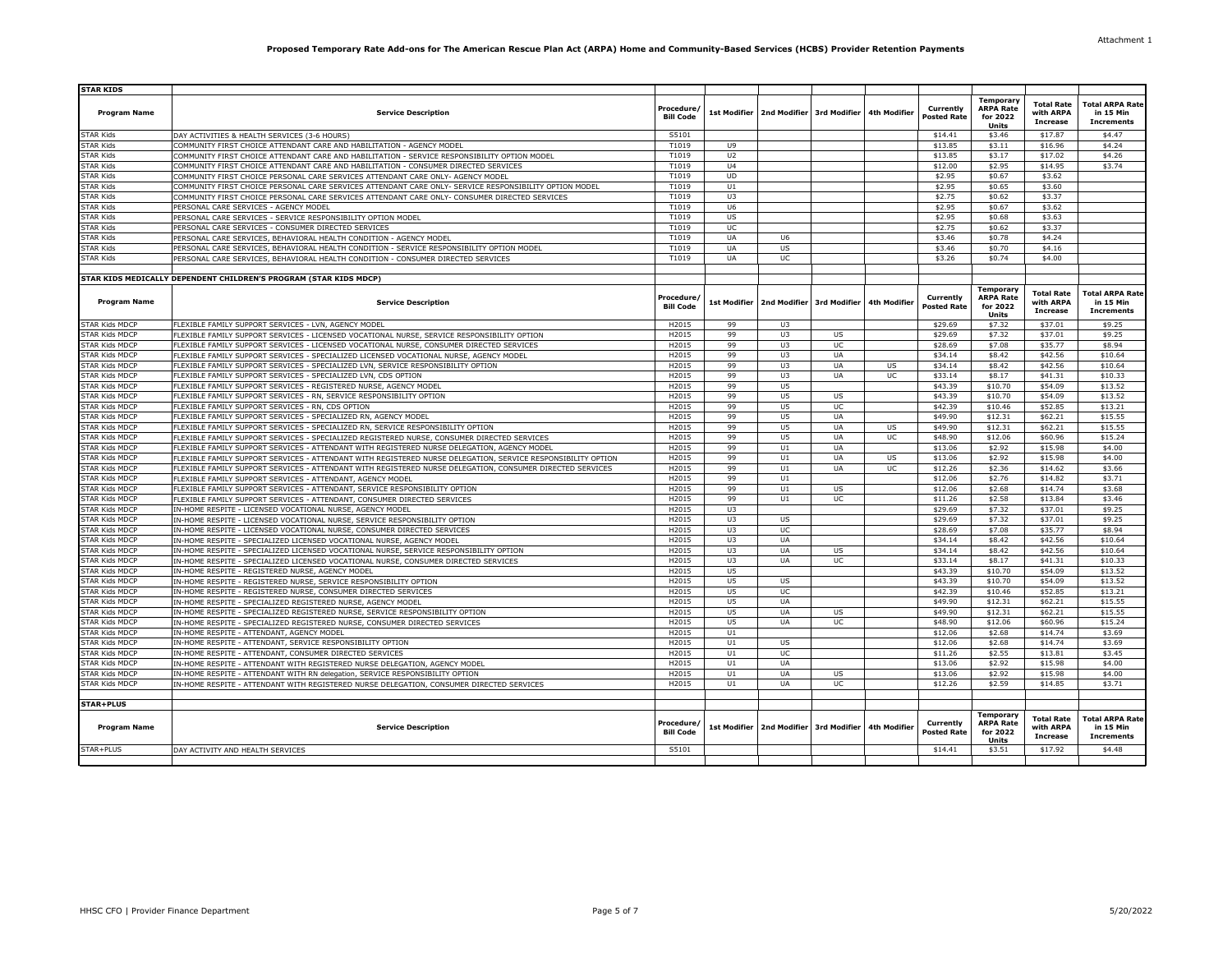| <b>STAR KIDS</b>      |                                                                                                              |                                |                |                                        |           |                     |                                 |                                                           |                                                   |                                                          |
|-----------------------|--------------------------------------------------------------------------------------------------------------|--------------------------------|----------------|----------------------------------------|-----------|---------------------|---------------------------------|-----------------------------------------------------------|---------------------------------------------------|----------------------------------------------------------|
| <b>Program Name</b>   | <b>Service Description</b>                                                                                   | Procedure,<br><b>Bill Code</b> | 1st Modifier   | 2nd Modifier 3rd Modifier              |           | <b>4th Modifier</b> | Currently<br><b>Posted Rate</b> | <b>Temporary</b><br><b>ARPA Rate</b><br>for 2022<br>Units | <b>Total Rate</b><br>with ARPA<br><b>Increase</b> | <b>Total ARPA Rate</b><br>in 15 Min<br><b>Increments</b> |
| <b>STAR Kids</b>      | DAY ACTIVITIES & HEALTH SERVICES (3-6 HOURS)                                                                 | S5101                          |                |                                        |           |                     | \$14.41                         | \$3.46                                                    | \$17.87                                           | \$4.47                                                   |
| <b>STAR Kids</b>      | COMMUNITY FIRST CHOICE ATTENDANT CARE AND HABILITATION - AGENCY MODEL                                        | T1019                          | U9             |                                        |           |                     | \$13.85                         | \$3.11                                                    | \$16.96                                           | \$4.24                                                   |
| <b>STAR Kids</b>      | COMMUNITY FIRST CHOICE ATTENDANT CARE AND HABILITATION - SERVICE RESPONSIBILITY OPTION MODEL                 | T1019                          | U <sub>2</sub> |                                        |           |                     | \$13.85                         | \$3.17                                                    | \$17.02                                           | \$4.26                                                   |
| <b>STAR Kids</b>      | COMMUNITY FIRST CHOICE ATTENDANT CARE AND HABILITATION - CONSUMER DIRECTED SERVICES                          | T1019                          | U <sub>4</sub> |                                        |           |                     | \$12.00                         | \$2.95                                                    | \$14.95                                           | \$3.74                                                   |
| <b>STAR Kids</b>      |                                                                                                              | T1019                          | <b>UD</b>      |                                        |           |                     | \$2.95                          | \$0.67                                                    | \$3.62                                            |                                                          |
|                       | COMMUNITY FIRST CHOICE PERSONAL CARE SERVICES ATTENDANT CARE ONLY- AGENCY MODEL                              |                                |                |                                        |           |                     |                                 |                                                           |                                                   |                                                          |
| <b>STAR Kids</b>      | COMMUNITY FIRST CHOICE PERSONAL CARE SERVICES ATTENDANT CARE ONLY- SERVICE RESPONSIBILITY OPTION MODEL       | T1019                          | U1             |                                        |           |                     | \$2.95                          | \$0.65                                                    | \$3.60                                            |                                                          |
| <b>STAR Kids</b>      | COMMUNITY FIRST CHOICE PERSONAL CARE SERVICES ATTENDANT CARE ONLY- CONSUMER DIRECTED SERVICES                | T1019                          | U3             |                                        |           |                     | \$2.75                          | \$0.62                                                    | \$3.37                                            |                                                          |
| <b>STAR Kids</b>      | PERSONAL CARE SERVICES - AGENCY MODEL                                                                        | T1019                          | U6             |                                        |           |                     | \$2.95                          | \$0.67                                                    | \$3.62                                            |                                                          |
| <b>STAR Kids</b>      | PERSONAL CARE SERVICES - SERVICE RESPONSIBILITY OPTION MODEL                                                 | T1019                          | US             |                                        |           |                     | \$2.95                          | \$0.68                                                    | \$3.63                                            |                                                          |
| <b>STAR Kids</b>      | PERSONAL CARE SERVICES - CONSUMER DIRECTED SERVICES                                                          | T1019                          | UC             |                                        |           |                     | \$2.75                          | \$0.62                                                    | \$3.37                                            |                                                          |
| <b>STAR Kids</b>      | PERSONAL CARE SERVICES, BEHAVIORAL HEALTH CONDITION - AGENCY MODEL                                           | T1019                          | <b>UA</b>      | U <sub>6</sub>                         |           |                     | \$3.46                          | \$0.78                                                    | \$4.24                                            |                                                          |
| <b>STAR Kids</b>      | PERSONAL CARE SERVICES, BEHAVIORAL HEALTH CONDITION - SERVICE RESPONSIBILITY OPTION MODEL                    | T1019                          | <b>UA</b>      | <b>US</b>                              |           |                     | \$3.46                          | \$0.70                                                    | \$4.16                                            |                                                          |
| <b>STAR Kids</b>      | PERSONAL CARE SERVICES, BEHAVIORAL HEALTH CONDITION - CONSUMER DIRECTED SERVICES                             | T1019                          | <b>UA</b>      | <b>UC</b>                              |           |                     | \$3.26                          | \$0.74                                                    | \$4.00                                            |                                                          |
|                       |                                                                                                              |                                |                |                                        |           |                     |                                 |                                                           |                                                   |                                                          |
|                       | STAR KIDS MEDICALLY DEPENDENT CHILDREN'S PROGRAM (STAR KIDS MDCP)                                            |                                |                |                                        |           |                     |                                 |                                                           |                                                   |                                                          |
| <b>Program Name</b>   | <b>Service Description</b>                                                                                   | Procedure/<br><b>Bill Code</b> | 1st Modifier   | 2nd Modifier 3rd Modifier              |           | <b>4th Modifier</b> | Currently<br><b>Posted Rate</b> | Temporary<br><b>ARPA Rate</b><br>for 2022<br>Units        | <b>Total Rate</b><br>with ARPA<br><b>Increase</b> | <b>Total ARPA Rate</b><br>in 15 Min<br><b>Increments</b> |
| <b>STAR Kids MDCP</b> | FLEXIBLE FAMILY SUPPORT SERVICES - LVN, AGENCY MODEL                                                         | H2015                          | 99             | U3                                     |           |                     | \$29.69                         | \$7.32                                                    | \$37.01                                           | \$9.25                                                   |
| <b>STAR Kids MDCP</b> | FLEXIBLE FAMILY SUPPORT SERVICES - LICENSED VOCATIONAL NURSE, SERVICE RESPONSIBILITY OPTION                  | H2015                          | 99             | U3                                     | US        |                     | \$29.69                         | \$7.32                                                    | \$37.01                                           | \$9.25                                                   |
| <b>STAR Kids MDCP</b> | FLEXIBLE FAMILY SUPPORT SERVICES - LICENSED VOCATIONAL NURSE, CONSUMER DIRECTED SERVICES                     | H2015                          | 99             | U3                                     | UC        |                     | \$28.69                         | \$7.08                                                    | \$35.77                                           | \$8.94                                                   |
| <b>STAR Kids MDCP</b> | FLEXIBLE FAMILY SUPPORT SERVICES - SPECIALIZED LICENSED VOCATIONAL NURSE, AGENCY MODEL                       | H2015                          | 99             | U3                                     | UA        |                     | \$34.14                         | \$8.42                                                    | \$42.56                                           | \$10.64                                                  |
| <b>STAR Kids MDCP</b> | FLEXIBLE FAMILY SUPPORT SERVICES - SPECIALIZED LVN, SERVICE RESPONSIBILITY OPTION                            | H2015                          | 99             | U3                                     | <b>UA</b> | US                  | \$34.14                         | \$8.42                                                    | \$42.56                                           | \$10.64                                                  |
| <b>STAR Kids MDCP</b> | FLEXIBLE FAMILY SUPPORT SERVICES - SPECIALIZED LVN, CDS OPTION                                               | H2015                          | 99             | U3                                     | UA        | UC                  | \$33.14                         | \$8.17                                                    | \$41.31                                           | \$10.33                                                  |
| <b>STAR Kids MDCP</b> |                                                                                                              |                                |                | U5                                     |           |                     |                                 |                                                           | \$54.09                                           |                                                          |
|                       | FLEXIBLE FAMILY SUPPORT SERVICES - REGISTERED NURSE, AGENCY MODEL                                            | H2015                          | 99             |                                        |           |                     | \$43.39                         | \$10.70                                                   |                                                   | \$13.52                                                  |
| <b>STAR Kids MDCP</b> | FLEXIBLE FAMILY SUPPORT SERVICES - RN, SERVICE RESPONSIBILITY OPTION                                         | H2015                          | 99             | U <sub>5</sub>                         | US        |                     | \$43.39                         | \$10.70                                                   | \$54.09                                           | \$13.52                                                  |
| <b>STAR Kids MDCP</b> | FLEXIBLE FAMILY SUPPORT SERVICES - RN, CDS OPTION                                                            | H2015                          | 99             | U <sub>5</sub>                         | UC        |                     | \$42.39                         | \$10.46                                                   | \$52.85                                           | \$13.21                                                  |
| <b>STAR Kids MDCP</b> | FLEXIBLE FAMILY SUPPORT SERVICES - SPECIALIZED RN, AGENCY MODEL                                              | H <sub>2015</sub>              | 99             | U5                                     | UA        |                     | \$49.90                         | \$12.31                                                   | \$62.21                                           | \$15.55                                                  |
| <b>STAR Kids MDCP</b> | FLEXIBLE FAMILY SUPPORT SERVICES - SPECIALIZED RN, SERVICE RESPONSIBILITY OPTION                             | H2015                          | 99             | U <sub>5</sub>                         | UA        | US                  | \$49.90                         | \$12.31                                                   | \$62.21                                           | \$15.55                                                  |
| <b>STAR Kids MDCP</b> | FLEXIBLE FAMILY SUPPORT SERVICES - SPECIALIZED REGISTERED NURSE, CONSUMER DIRECTED SERVICES                  | H2015                          | 99             | U5                                     | <b>UA</b> | <b>UC</b>           | \$48.90                         | \$12.06                                                   | \$60.96                                           | \$15.24                                                  |
| <b>STAR Kids MDCP</b> | FLEXIBLE FAMILY SUPPORT SERVICES - ATTENDANT WITH REGISTERED NURSE DELEGATION, AGENCY MODEL                  | H2015                          | 99             | U1                                     | UA        |                     | \$13.06                         | \$2.92                                                    | \$15.98                                           | \$4.00                                                   |
| <b>STAR Kids MDCP</b> | FLEXIBLE FAMILY SUPPORT SERVICES - ATTENDANT WITH REGISTERED NURSE DELEGATION, SERVICE RESPONSIBILITY OPTION | H2015                          | 99             | U1                                     | UA        | <b>US</b>           | \$13.06                         | \$2.92                                                    | \$15.98                                           | \$4.00                                                   |
| <b>STAR Kids MDCP</b> |                                                                                                              | H2015                          | 99             | U1                                     | <b>UA</b> | UC                  | \$12.26                         | \$2.36                                                    | \$14.62                                           | \$3.66                                                   |
|                       | FLEXIBLE FAMILY SUPPORT SERVICES - ATTENDANT WITH REGISTERED NURSE DELEGATION, CONSUMER DIRECTED SERVICES    |                                |                |                                        |           |                     |                                 |                                                           |                                                   |                                                          |
| <b>STAR Kids MDCP</b> | FLEXIBLE FAMILY SUPPORT SERVICES - ATTENDANT, AGENCY MODEL                                                   | H2015                          | 99             | U1                                     |           |                     | \$12.06                         | \$2.76                                                    | \$14.82                                           | \$3.71                                                   |
| <b>STAR Kids MDCP</b> | FLEXIBLE FAMILY SUPPORT SERVICES - ATTENDANT, SERVICE RESPONSIBILITY OPTION                                  | H2015                          | 99             | U1                                     | <b>US</b> |                     | \$12.06                         | \$2.68                                                    | \$14.74                                           | \$3.68                                                   |
| <b>STAR Kids MDCP</b> | FLEXIBLE FAMILY SUPPORT SERVICES - ATTENDANT, CONSUMER DIRECTED SERVICES                                     | H2015                          | 99             | U1                                     | UC        |                     | \$11.26                         | \$2.58                                                    | \$13.84                                           | \$3.46                                                   |
| <b>STAR Kids MDCP</b> | IN-HOME RESPITE - LICENSED VOCATIONAL NURSE, AGENCY MODEL                                                    | H2015                          | U3             |                                        |           |                     | \$29.69                         | \$7.32                                                    | \$37.01                                           | \$9.25                                                   |
| <b>STAR Kids MDCP</b> | IN-HOME RESPITE - LICENSED VOCATIONAL NURSE, SERVICE RESPONSIBILITY OPTION                                   | H2015                          | U3             | US                                     |           |                     | \$29.69                         | \$7.32                                                    | \$37.01                                           | \$9.25                                                   |
| <b>STAR Kids MDCP</b> | IN-HOME RESPITE - LICENSED VOCATIONAL NURSE, CONSUMER DIRECTED SERVICES                                      | H2015                          | U3             | <b>UC</b>                              |           |                     | \$28.69                         | \$7.08                                                    | \$35.77                                           | \$8.94                                                   |
| <b>STAR Kids MDCP</b> | IN-HOME RESPITE - SPECIALIZED LICENSED VOCATIONAL NURSE, AGENCY MODEL                                        | H2015                          | U3             | UA                                     |           |                     | \$34.14                         | \$8.42                                                    | \$42.56                                           | \$10.64                                                  |
| <b>STAR Kids MDCP</b> | IN-HOME RESPITE - SPECIALIZED LICENSED VOCATIONAL NURSE, SERVICE RESPONSIBILITY OPTION                       | H2015                          | U3             | <b>UA</b>                              | <b>US</b> |                     | \$34.14                         | \$8.42                                                    | \$42.56                                           | \$10.64                                                  |
| <b>STAR Kids MDCP</b> | IN-HOME RESPITE - SPECIALIZED LICENSED VOCATIONAL NURSE, CONSUMER DIRECTED SERVICES                          | H2015                          | U3             | UA                                     | UC        |                     | \$33.14                         | \$8.17                                                    | \$41.31                                           | \$10.33                                                  |
| <b>STAR Kids MDCP</b> |                                                                                                              | H2015                          | $\overline{U}$ |                                        |           |                     | \$43.39                         | \$10.70                                                   | \$54.09                                           | \$13.52                                                  |
|                       | IN-HOME RESPITE - REGISTERED NURSE, AGENCY MODEL                                                             |                                |                |                                        |           |                     |                                 |                                                           |                                                   |                                                          |
| STAR Kids MDCP        | IN-HOME RESPITE - REGISTERED NURSE, SERVICE RESPONSIBILITY OPTION                                            | H2015                          | U5             | <b>US</b>                              |           |                     | \$43.39                         | \$10.70                                                   | \$54.09                                           | \$13.52                                                  |
| <b>STAR Kids MDCP</b> | IN-HOME RESPITE - REGISTERED NURSE, CONSUMER DIRECTED SERVICES                                               | H2015                          | $\overline{u}$ | UC                                     |           |                     | \$42.39                         | \$10.46                                                   | \$52.85                                           | \$13.21                                                  |
| <b>STAR Kids MDCP</b> | IN-HOME RESPITE - SPECIALIZED REGISTERED NURSE, AGENCY MODEL                                                 | H2015                          | U5             | <b>UA</b>                              |           |                     | \$49.90                         | \$12.31                                                   | \$62.21                                           | \$15.55                                                  |
| <b>STAR Kids MDCP</b> | IN-HOME RESPITE - SPECIALIZED REGISTERED NURSE, SERVICE RESPONSIBILITY OPTION                                | H2015                          | $\overline{U}$ | UA                                     | US        |                     | \$49.90                         | \$12.31                                                   | \$62.21                                           | \$15.55                                                  |
| <b>STAR Kids MDCP</b> | IN-HOME RESPITE - SPECIALIZED REGISTERED NURSE, CONSUMER DIRECTED SERVICES                                   | H2015                          | U5             | <b>UA</b>                              | <b>UC</b> |                     | \$48.90                         | \$12.06                                                   | \$60.96                                           | \$15.24                                                  |
| <b>STAR Kids MDCP</b> | IN-HOME RESPITE - ATTENDANT, AGENCY MODEL                                                                    | H2015                          | U1             |                                        |           |                     | \$12.06                         | \$2.68                                                    | \$14.74                                           | \$3.69                                                   |
| <b>STAR Kids MDCP</b> | IN-HOME RESPITE - ATTENDANT, SERVICE RESPONSIBILITY OPTION                                                   | H2015                          | U1             | US                                     |           |                     | \$12.06                         | \$2.68                                                    | \$14.74                                           | \$3.69                                                   |
| <b>STAR Kids MDCP</b> | IN-HOME RESPITE - ATTENDANT, CONSUMER DIRECTED SERVICES                                                      | H2015                          | U1             | UC                                     |           |                     | \$11.26                         | \$2.55                                                    | \$13.81                                           | \$3.45                                                   |
| <b>STAR Kids MDCP</b> | IN-HOME RESPITE - ATTENDANT WITH REGISTERED NURSE DELEGATION, AGENCY MODEL                                   | H2015                          | U1             | UA                                     |           |                     | \$13.06                         | \$2.92                                                    | \$15.98                                           | \$4.00                                                   |
|                       |                                                                                                              |                                |                |                                        |           |                     |                                 |                                                           |                                                   |                                                          |
| <b>STAR Kids MDCP</b> | IN-HOME RESPITE - ATTENDANT WITH RN delegation, SERVICE RESPONSIBILITY OPTION                                | H2015                          | U1             | UA                                     | US        |                     | \$13.06                         | \$2.92                                                    | \$15.98                                           | \$4.00                                                   |
| <b>STAR Kids MDCP</b> | IN-HOME RESPITE - ATTENDANT WITH REGISTERED NURSE DELEGATION, CONSUMER DIRECTED SERVICES                     | H2015                          | U1             | UA                                     | UC        |                     | \$12.26                         | \$2.59                                                    | \$14.85                                           | \$3.71                                                   |
|                       |                                                                                                              |                                |                |                                        |           |                     |                                 |                                                           |                                                   |                                                          |
| STAR+PLUS             |                                                                                                              |                                |                |                                        |           |                     |                                 |                                                           |                                                   |                                                          |
| <b>Program Name</b>   | <b>Service Description</b>                                                                                   | Procedure/<br><b>Bill Code</b> | 1st Modifier   | 2nd Modifier 3rd Modifier 4th Modifier |           |                     | Currently<br><b>Posted Rate</b> | <b>Temporary</b><br><b>ARPA Rate</b><br>for 2022<br>Units | <b>Total Rate</b><br>with ARPA<br><b>Increase</b> | <b>Total ARPA Rate</b><br>in 15 Min<br><b>Increments</b> |
| STAR+PLUS             | DAY ACTIVITY AND HEALTH SERVICES                                                                             | S5101                          |                |                                        |           |                     | \$14.41                         | \$3.51                                                    | \$17.92                                           | \$4.48                                                   |
|                       |                                                                                                              |                                |                |                                        |           |                     |                                 |                                                           |                                                   |                                                          |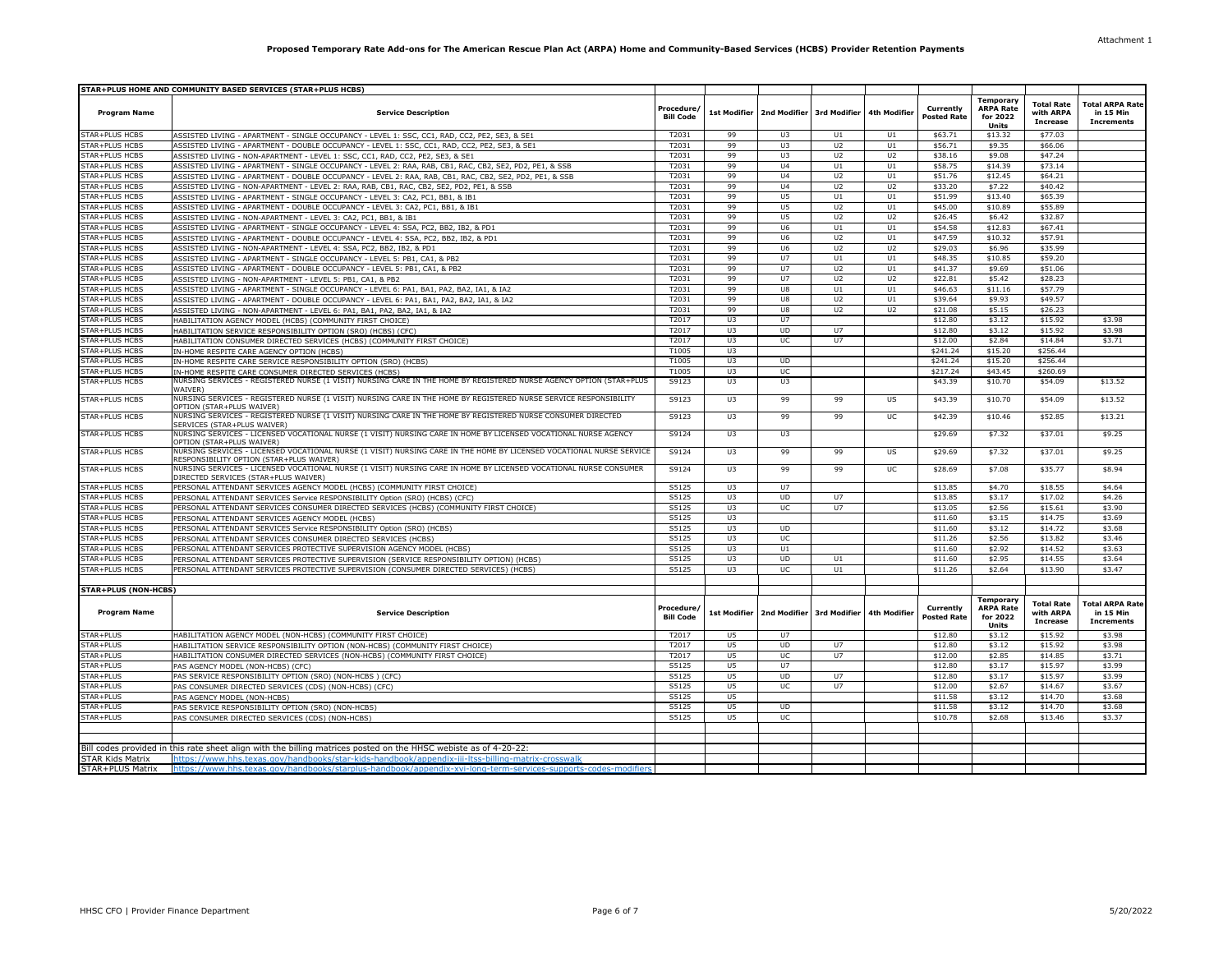|                             | STAR+PLUS HOME AND COMMUNITY BASED SERVICES (STAR+PLUS HCBS)                                                                                                     |                                |                |                                            |                |                |                                 |                                                           |                                                   |                                                          |
|-----------------------------|------------------------------------------------------------------------------------------------------------------------------------------------------------------|--------------------------------|----------------|--------------------------------------------|----------------|----------------|---------------------------------|-----------------------------------------------------------|---------------------------------------------------|----------------------------------------------------------|
| <b>Program Name</b>         | <b>Service Description</b>                                                                                                                                       | Procedure/<br><b>Bill Code</b> |                | 1st Modifier   2nd Modifier   3rd Modifier |                | 4th Modifier   | Currently<br><b>Posted Rate</b> | Temporary<br><b>ARPA Rate</b><br>for 2022<br><b>Units</b> | <b>Total Rate</b><br>with ARPA<br><b>Increase</b> | <b>Total ARPA Rate</b><br>in 15 Min<br><b>Increments</b> |
| STAR+PLUS HCBS              | ASSISTED LIVING - APARTMENT - SINGLE OCCUPANCY - LEVEL 1: SSC, CC1, RAD, CC2, PE2, SE3, & SE1                                                                    | T2031                          | 99             | U3                                         | U1             | U1             | \$63.71                         | \$13.32                                                   | \$77.03                                           |                                                          |
| STAR+PLUS HCBS              | ASSISTED LIVING - APARTMENT - DOUBLE OCCUPANCY - LEVEL 1: SSC, CC1, RAD, CC2, PE2, SE3, & SE1                                                                    | T2031                          | 99             | U3                                         | U2             | U1             | \$56.71                         | \$9.35                                                    | \$66.06                                           |                                                          |
| STAR+PLUS HCBS              | ASSISTED LIVING - NON-APARTMENT - LEVEL 1: SSC, CC1, RAD, CC2, PE2, SE3, & SE1                                                                                   | T2031                          | 99             | U3                                         | U <sub>2</sub> | U <sub>2</sub> | \$38.16                         | \$9.08                                                    | \$47.24                                           |                                                          |
| STAR+PLUS HCBS              | ASSISTED LIVING - APARTMENT - SINGLE OCCUPANCY - LEVEL 2: RAA, RAB, CB1, RAC, CB2, SE2, PD2, PE1, & SSB                                                          | T2031                          | 99             | U <sub>4</sub>                             | U1             | U1             | \$58.75                         | \$14.39                                                   | \$73.14                                           |                                                          |
| STAR+PLUS HCBS              | ASSISTED LIVING - APARTMENT - DOUBLE OCCUPANCY - LEVEL 2: RAA, RAB, CB1, RAC, CB2, SE2, PD2, PE1, & SSB                                                          | T2031                          | 99             | U <sub>4</sub>                             | U <sub>2</sub> | U1             | \$51.76                         | \$12.45                                                   | \$64.21                                           |                                                          |
| STAR+PLUS HCBS              | ASSISTED LIVING - NON-APARTMENT - LEVEL 2: RAA, RAB, CB1, RAC, CB2, SE2, PD2, PE1, & SSB                                                                         | T2031                          | 99             | 114                                        | U <sub>2</sub> | U2             | \$33.20                         | \$7.22                                                    | \$40.42                                           |                                                          |
| STAR+PLUS HCBS              | ASSISTED LIVING - APARTMENT - SINGLE OCCUPANCY - LEVEL 3: CA2, PC1, BB1, & IB1                                                                                   | T2031                          | 99             | U5                                         | U1             | U1             | \$51.99                         | \$13.40                                                   | \$65.39                                           |                                                          |
| STAR+PLUS HCBS              | ASSISTED LIVING - APARTMENT - DOUBLE OCCUPANCY - LEVEL 3: CA2, PC1, BB1, & IB1                                                                                   | T2031                          | 99             | U5                                         | U <sub>2</sub> | U1             | \$45.00                         | \$10.89                                                   | \$55.89                                           |                                                          |
| STAR+PLUS HCBS              | ASSISTED LIVING - NON-APARTMENT - LEVEL 3: CA2, PC1, BB1, & IB1                                                                                                  | T2031                          | 99             | U5                                         | U2             | U <sub>2</sub> | \$26.45                         | \$6.42                                                    | \$32.87                                           |                                                          |
| STAR+PLUS HCBS              | ASSISTED LIVING - APARTMENT - SINGLE OCCUPANCY - LEVEL 4: SSA, PC2, BB2, IB2, & PD1                                                                              | T2031                          | 99             | U6                                         | U1             | U1             | \$54.58                         | \$12.83                                                   | \$67.41                                           |                                                          |
| STAR+PLUS HCBS              | ASSISTED LIVING - APARTMENT - DOUBLE OCCUPANCY - LEVEL 4: SSA, PC2, BB2, IB2, & PD1                                                                              | T2031                          | 99             | U6                                         | U <sub>2</sub> | U1             | \$47.59                         | \$10.32                                                   | \$57.91                                           |                                                          |
| STAR+PLUS HCBS              | ASSISTED LIVING - NON-APARTMENT - LEVEL 4: SSA, PC2, BB2, IB2, & PD1                                                                                             | T2031                          | 99             | U6                                         | U <sub>2</sub> | U <sub>2</sub> | \$29.03                         | \$6.96                                                    | \$35.99                                           |                                                          |
| STAR+PLUS HCBS              | ASSISTED LIVING - APARTMENT - SINGLE OCCUPANCY - LEVEL 5: PB1, CA1, & PB2                                                                                        | T2031                          | 99             | U7                                         | U1             | U1             | \$48.35                         | \$10.85                                                   | \$59.20                                           |                                                          |
| STAR+PLUS HCBS              | ASSISTED LIVING - APARTMENT - DOUBLE OCCUPANCY - LEVEL 5: PB1, CA1, & PB2                                                                                        | T2031                          | 99             | U7                                         | U <sub>2</sub> | U1             | \$41.37                         | \$9.69                                                    | \$51.06                                           |                                                          |
| STAR+PLUS HCBS              | ASSISTED LIVING - NON-APARTMENT - LEVEL 5: PB1, CA1, & PB2                                                                                                       | T2031                          | 99             | U7                                         | U <sub>2</sub> | U2             | \$22.81                         | \$5.42                                                    | \$28.23                                           |                                                          |
| STAR+PLUS HCBS              | ASSISTED LIVING - APARTMENT - SINGLE OCCUPANCY - LEVEL 6: PA1, BA1, PA2, BA2, IA1, & IA2                                                                         | T2031                          | 99             | U8                                         | U1             | U1             | \$46.63                         | \$11.16                                                   | \$57.79                                           |                                                          |
| STAR+PLUS HCBS              | ASSISTED LIVING - APARTMENT - DOUBLE OCCUPANCY - LEVEL 6: PA1, BA1, PA2, BA2, IA1, & IA2                                                                         | T2031                          | 99             | U8                                         | U2             | U1             | \$39.64                         | \$9.93                                                    | \$49.57                                           |                                                          |
| STAR+PLUS HCBS              | ASSISTED LIVING - NON-APARTMENT - LEVEL 6: PA1, BA1, PA2, BA2, IA1, & IA2                                                                                        | T2031                          | 99             | U8                                         | U2             | U2             | \$21.08                         | \$5.15                                                    | \$26.23                                           |                                                          |
| STAR+PLUS HCBS              | HABILITATION AGENCY MODEL (HCBS) (COMMUNITY FIRST CHOICE)                                                                                                        | T2017                          | U <sub>3</sub> | U7                                         |                |                | \$12.80                         | \$3.12                                                    | \$15.92                                           | \$3.98                                                   |
| STAR+PLUS HCBS              | HABILITATION SERVICE RESPONSIBILITY OPTION (SRO) (HCBS) (CFC)                                                                                                    | T2017                          | U3             | <b>UD</b>                                  | U7             |                | \$12.80                         | \$3.12                                                    | \$15.92                                           | \$3.98                                                   |
| STAR+PLUS HCBS              | HABILITATION CONSUMER DIRECTED SERVICES (HCBS) (COMMUNITY FIRST CHOICE)                                                                                          | T2017                          | U3             | UC                                         | U7             |                | \$12.00                         | \$2.84                                                    | \$14.84                                           | \$3.71                                                   |
| STAR+PLUS HCBS              | IN-HOME RESPITE CARE AGENCY OPTION (HCBS)                                                                                                                        | T1005                          | U3             |                                            |                |                | \$241.24                        | \$15.20                                                   | \$256.44                                          |                                                          |
| STAR+PLUS HCBS              | IN-HOME RESPITE CARE SERVICE RESPONSIBILITY OPTION (SRO) (HCBS)                                                                                                  | T1005                          | U3             | <b>UD</b>                                  |                |                | \$241.24                        | \$15.20                                                   | \$256.44                                          |                                                          |
| STAR+PLUS HCBS              | IN-HOME RESPITE CARE CONSUMER DIRECTED SERVICES (HCBS)                                                                                                           | T1005                          | U3             | <b>UC</b>                                  |                |                | \$217.24                        | \$43.45                                                   | \$260.69                                          |                                                          |
| STAR+PLUS HCBS              | NURSING SERVICES - REGISTERED NURSE (1 VISIT) NURSING CARE IN THE HOME BY REGISTERED NURSE AGENCY OPTION (STAR+PLUS<br>WAIVFR)                                   | S9123                          | U3             | U3                                         |                |                | \$43.39                         | \$10.70                                                   | \$54.09                                           | \$13.52                                                  |
| STAR+PLUS HCBS              | NURSING SERVICES - REGISTERED NURSE (1 VISIT) NURSING CARE IN THE HOME BY REGISTERED NURSE SERVICE RESPONSIBILITY<br>OPTION (STAR+PLUS WAIVER)                   | S9123                          | U3             | 99                                         | 99             | US             | \$43.39                         | \$10.70                                                   | \$54.09                                           | \$13.52                                                  |
| STAR+PLUS HCBS              | NURSING SERVICES - REGISTERED NURSE (1 VISIT) NURSING CARE IN THE HOME BY REGISTERED NURSE CONSUMER DIRECTED<br>SERVICES (STAR+PLUS WAIVER)                      | S9123                          | U3             | 99                                         | 99             | UC             | \$42.39                         | \$10.46                                                   | \$52.85                                           | \$13.21                                                  |
| STAR+PLUS HCBS              | NURSING SERVICES - LICENSED VOCATIONAL NURSE (1 VISIT) NURSING CARE IN HOME BY LICENSED VOCATIONAL NURSE AGENCY<br>OPTION (STAR+PLUS WAIVER)                     | S9124                          | U3             | U3                                         |                |                | \$29.69                         | \$7.32                                                    | \$37.01                                           | \$9.25                                                   |
| STAR+PLUS HCBS              | NURSING SERVICES - LICENSED VOCATIONAL NURSE (1 VISIT) NURSING CARE IN THE HOME BY LICENSED VOCATIONAL NURSE SERVICE<br>RESPONSIBILITY OPTION (STAR+PLUS WAIVER) | S9124                          | U3             | 99                                         | 99             | US             | \$29.69                         | \$7.32                                                    | \$37.01                                           | \$9.25                                                   |
| STAR+PLUS HCBS              | NURSING SERVICES - LICENSED VOCATIONAL NURSE (1 VISIT) NURSING CARE IN HOME BY LICENSED VOCATIONAL NURSE CONSUMER<br>DIRECTED SERVICES (STAR+PLUS WAIVER)        | S9124                          | U3             | 99                                         | 99             | UC.            | \$28.69                         | \$7.08                                                    | \$35.77                                           | \$8.94                                                   |
| STAR+PLUS HCBS              | PERSONAL ATTENDANT SERVICES AGENCY MODEL (HCBS) (COMMUNITY FIRST CHOICE)                                                                                         | S5125                          | U3             | U <sub>7</sub>                             |                |                | \$13.85                         | \$4.70                                                    | \$18.55                                           | \$4.64                                                   |
| STAR+PLUS HCBS              | PERSONAL ATTENDANT SERVICES Service RESPONSIBILITY Option (SRO) (HCBS) (CFC)                                                                                     | S5125                          | U3             | <b>UD</b>                                  | U7             |                | \$13.85                         | \$3.17                                                    | \$17.02                                           | \$4.26                                                   |
| STAR+PLUS HCBS              | PERSONAL ATTENDANT SERVICES CONSUMER DIRECTED SERVICES (HCBS) (COMMUNITY FIRST CHOICE)                                                                           | S5125                          | U3             | UC                                         | U7             |                | \$13.05                         | \$2.56                                                    | \$15.61                                           | \$3.90                                                   |
| STAR+PLUS HCBS              | PERSONAL ATTENDANT SERVICES AGENCY MODEL (HCBS)                                                                                                                  | S5125                          | U3             |                                            |                |                | \$11.60                         | \$3.15                                                    | \$14.75                                           | \$3.69                                                   |
| STAR+PLUS HCBS              | PERSONAL ATTENDANT SERVICES Service RESPONSIBILITY Option (SRO) (HCBS)                                                                                           | S5125                          | U3             | <b>UD</b>                                  |                |                | \$11.60                         | \$3.12                                                    | \$14.72                                           | \$3.68                                                   |
| STAR+PLUS HCBS              | PERSONAL ATTENDANT SERVICES CONSUMER DIRECTED SERVICES (HCBS)                                                                                                    | S5125                          | U3             | UC                                         |                |                | \$11.26                         | \$2.56                                                    | \$13.82                                           | \$3.46                                                   |
| <b>STAR+PLUS HCBS</b>       | PERSONAL ATTENDANT SERVICES PROTECTIVE SUPERVISION AGENCY MODEL (HCBS)                                                                                           | S5125                          | U3             | U1                                         |                |                | \$11.60                         | \$2.92                                                    | \$14.52                                           | \$3.63                                                   |
| STAR+PLUS HCBS              | PERSONAL ATTENDANT SERVICES PROTECTIVE SUPERVISION (SERVICE RESPONSIBILITY OPTION) (HCBS)                                                                        | S5125                          | U3             | <b>UD</b>                                  | U1             |                | \$11.60                         | \$2.95                                                    | \$14.55                                           | \$3.64                                                   |
| STAR+PLUS HCBS              | PERSONAL ATTENDANT SERVICES PROTECTIVE SUPERVISION (CONSUMER DIRECTED SERVICES) (HCBS)                                                                           | S5125                          | U3             | UC                                         | U1             |                | \$11.26                         | \$2.64                                                    | \$13.90                                           | \$3.47                                                   |
| <b>STAR+PLUS (NON-HCBS)</b> |                                                                                                                                                                  |                                |                |                                            |                |                |                                 |                                                           |                                                   |                                                          |
| <b>Program Name</b>         | <b>Service Description</b>                                                                                                                                       | Procedure.<br><b>Bill Code</b> | 1st Modifier   | 2nd Modifier 3rd Modifier                  |                | 4th Modifier   | Currently<br><b>Posted Rate</b> | Temporary<br><b>ARPA Rate</b><br>for 2022<br>Units        | <b>Total Rate</b><br>with ARPA<br><b>Increase</b> | <b>Total ARPA Rate</b><br>in 15 Min<br><b>Increments</b> |
| STAR+PLUS                   | HABILITATION AGENCY MODEL (NON-HCBS) (COMMUNITY FIRST CHOICE)                                                                                                    | T2017                          | U5             | U7                                         |                |                | \$12.80                         | \$3.12                                                    | \$15.92                                           | \$3.98                                                   |
| STAR+PLUS                   | HABILITATION SERVICE RESPONSIBILITY OPTION (NON-HCBS) (COMMUNITY FIRST CHOICE)                                                                                   | T2017                          | U5             | <b>UD</b>                                  | U7             |                | \$12.80                         | \$3.12                                                    | \$15.92                                           | \$3.98                                                   |
| STAR+PLUS                   | HABILITATION CONSUMER DIRECTED SERVICES (NON-HCBS) (COMMUNITY FIRST CHOICE)                                                                                      | T2017                          | U5             | UC                                         | U7             |                | \$12.00                         | \$2.85                                                    | \$14.85                                           | \$3.71                                                   |
| STAR+PLUS                   | PAS AGENCY MODEL (NON-HCBS) (CFC)                                                                                                                                | S5125                          | U5             | U7                                         |                |                | \$12.80                         | \$3.17                                                    | \$15.97                                           | \$3.99                                                   |
| STAR+PLUS                   | PAS SERVICE RESPONSIBILITY OPTION (SRO) (NON-HCBS ) (CFC)                                                                                                        | S5125                          | U5             | <b>UD</b>                                  | U7             |                | \$12.80                         | \$3.17                                                    | \$15.97                                           | \$3.99                                                   |
| STAR+PLUS                   | PAS CONSUMER DIRECTED SERVICES (CDS) (NON-HCBS) (CFC)                                                                                                            | S5125                          | U5             | UC                                         | U7             |                | \$12.00                         | \$2.67                                                    | \$14.67                                           | \$3.67                                                   |
| STAR+PLUS                   | PAS AGENCY MODEL (NON-HCBS)                                                                                                                                      | S5125                          | U5             |                                            |                |                | \$11.58                         | \$3.12                                                    | \$14.70                                           | \$3.68                                                   |
| STAR+PLUS                   | PAS SERVICE RESPONSIBILITY OPTION (SRO) (NON-HCBS)                                                                                                               | S5125                          | U5             | <b>UD</b>                                  |                |                | \$11.58                         | \$3.12                                                    | \$14.70                                           | \$3.68                                                   |
| STAR+PLUS                   | PAS CONSUMER DIRECTED SERVICES (CDS) (NON-HCBS)                                                                                                                  | S5125                          | U5             | UC                                         |                |                | \$10.78                         | \$2.68                                                    | \$13.46                                           | \$3.37                                                   |
|                             |                                                                                                                                                                  |                                |                |                                            |                |                |                                 |                                                           |                                                   |                                                          |
|                             |                                                                                                                                                                  |                                |                |                                            |                |                |                                 |                                                           |                                                   |                                                          |
|                             | Bill codes provided in this rate sheet align with the billing matrices posted on the HHSC webiste as of 4-20-22:                                                 |                                |                |                                            |                |                |                                 |                                                           |                                                   |                                                          |
| STAR Kids Matrix            | https://www.hhs.texas.gov/handbooks/star-kids-handbook/appendix-iii-ltss-billing-matrix-crosswalk                                                                |                                |                |                                            |                |                |                                 |                                                           |                                                   |                                                          |
| STAR+PLUS Matrix            | https://www.hhs.texas.gov/handbooks/starplus-handbook/appendix-xvi-long-term-services-supports-codes-modifiers                                                   |                                |                |                                            |                |                |                                 |                                                           |                                                   |                                                          |
|                             |                                                                                                                                                                  |                                |                |                                            |                |                |                                 |                                                           |                                                   |                                                          |